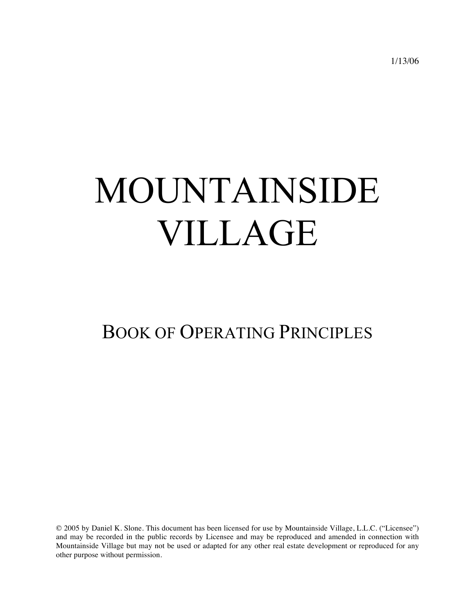## MOUNTAINSIDE VILLAGE

## BOOK OF OPERATING PRINCIPLES

© 2005 by Daniel K. Slone. This document has been licensed for use by Mountainside Village, L.L.C. ("Licensee") and may be recorded in the public records by Licensee and may be reproduced and amended in connection with Mountainside Village but may not be used or adapted for any other real estate development or reproduced for any other purpose without permission.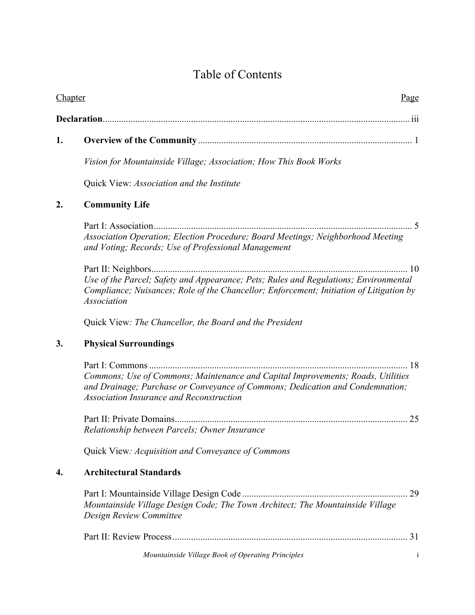## Table of Contents

| <b>Chapter</b> | Page                                                                                                                                                                                                                      |
|----------------|---------------------------------------------------------------------------------------------------------------------------------------------------------------------------------------------------------------------------|
|                | Declaration                                                                                                                                                                                                               |
| 1.             |                                                                                                                                                                                                                           |
|                | Vision for Mountainside Village; Association; How This Book Works                                                                                                                                                         |
|                | Quick View: Association and the Institute                                                                                                                                                                                 |
| 2.             | <b>Community Life</b>                                                                                                                                                                                                     |
|                | 5<br>Association Operation; Election Procedure; Board Meetings; Neighborhood Meeting<br>and Voting; Records; Use of Professional Management                                                                               |
|                | 10                                                                                                                                                                                                                        |
|                | Use of the Parcel; Safety and Appearance; Pets; Rules and Regulations; Environmental<br>Compliance; Nuisances; Role of the Chancellor; Enforcement; Initiation of Litigation by<br><b>Association</b>                     |
|                | Quick View: The Chancellor, the Board and the President                                                                                                                                                                   |
| 3.             | <b>Physical Surroundings</b>                                                                                                                                                                                              |
|                | 18<br>Commons; Use of Commons; Maintenance and Capital Improvements; Roads, Utilities<br>and Drainage; Purchase or Conveyance of Commons; Dedication and Condemnation;<br><b>Association Insurance and Reconstruction</b> |
|                | 25                                                                                                                                                                                                                        |
|                | Relationship between Parcels; Owner Insurance                                                                                                                                                                             |
|                | Quick View: Acquisition and Conveyance of Commons                                                                                                                                                                         |
| 4.             | <b>Architectural Standards</b>                                                                                                                                                                                            |
|                | 29<br>Mountainside Village Design Code; The Town Architect; The Mountainside Village<br>Design Review Committee                                                                                                           |
|                | 31                                                                                                                                                                                                                        |
|                | Mountainside Village Book of Operating Principles<br>$\mathbf{i}$                                                                                                                                                         |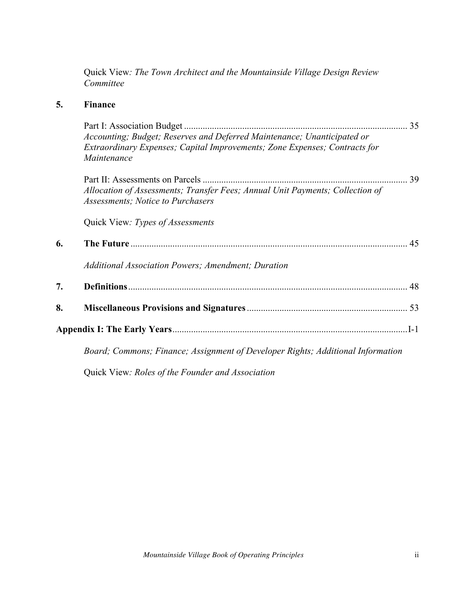Quick View*: The Town Architect and the Mountainside Village Design Review Committee*

## **5. Finance**

|    | Part I: Association Budget.                                                                                                |    |
|----|----------------------------------------------------------------------------------------------------------------------------|----|
|    | Accounting; Budget; Reserves and Deferred Maintenance; Unanticipated or                                                    |    |
|    | Extraordinary Expenses; Capital Improvements; Zone Expenses; Contracts for<br>Maintenance                                  |    |
|    |                                                                                                                            |    |
|    |                                                                                                                            |    |
|    | Allocation of Assessments; Transfer Fees; Annual Unit Payments; Collection of<br><b>Assessments</b> ; Notice to Purchasers |    |
|    | Quick View: Types of Assessments                                                                                           |    |
| 6. |                                                                                                                            | 45 |
|    | Additional Association Powers; Amendment; Duration                                                                         |    |
| 7. |                                                                                                                            |    |
| 8. |                                                                                                                            |    |
|    |                                                                                                                            |    |
|    | Board; Commons; Finance; Assignment of Developer Rights; Additional Information                                            |    |
|    |                                                                                                                            |    |

Quick View*: Roles of the Founder and Association*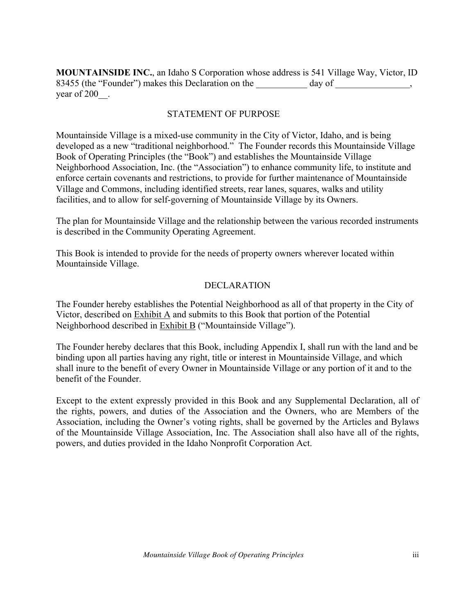**MOUNTAINSIDE INC.**, an Idaho S Corporation whose address is 541 Village Way, Victor, ID 83455 (the "Founder") makes this Declaration on the day of \_\_\_\_\_\_\_\_\_\_\_\_, year of 200<sup>.</sup>

#### STATEMENT OF PURPOSE

Mountainside Village is a mixed-use community in the City of Victor, Idaho, and is being developed as a new "traditional neighborhood." The Founder records this Mountainside Village Book of Operating Principles (the "Book") and establishes the Mountainside Village Neighborhood Association, Inc. (the "Association") to enhance community life, to institute and enforce certain covenants and restrictions, to provide for further maintenance of Mountainside Village and Commons, including identified streets, rear lanes, squares, walks and utility facilities, and to allow for self-governing of Mountainside Village by its Owners.

The plan for Mountainside Village and the relationship between the various recorded instruments is described in the Community Operating Agreement.

This Book is intended to provide for the needs of property owners wherever located within Mountainside Village.

#### DECLARATION

The Founder hereby establishes the Potential Neighborhood as all of that property in the City of Victor, described on Exhibit A and submits to this Book that portion of the Potential Neighborhood described in Exhibit B ("Mountainside Village").

The Founder hereby declares that this Book, including Appendix I, shall run with the land and be binding upon all parties having any right, title or interest in Mountainside Village, and which shall inure to the benefit of every Owner in Mountainside Village or any portion of it and to the benefit of the Founder.

Except to the extent expressly provided in this Book and any Supplemental Declaration, all of the rights, powers, and duties of the Association and the Owners, who are Members of the Association, including the Owner's voting rights, shall be governed by the Articles and Bylaws of the Mountainside Village Association, Inc. The Association shall also have all of the rights, powers, and duties provided in the Idaho Nonprofit Corporation Act.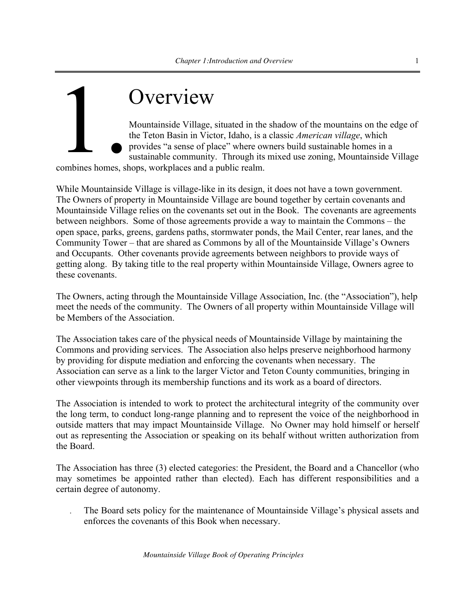## **Overview**

Mountainside Village, situated in the shadow of the mountains on the edge of the Teton Basin in Victor, Idaho, is a classic *American village*, which provides "a sense of place" where owners build sustainable homes in a sustainable community. Through its mixed use zoning, Mountainside Village 1.

combines homes, shops, workplaces and a public realm.

While Mountainside Village is village-like in its design, it does not have a town government. The Owners of property in Mountainside Village are bound together by certain covenants and Mountainside Village relies on the covenants set out in the Book. The covenants are agreements between neighbors. Some of those agreements provide a way to maintain the Commons – the open space, parks, greens, gardens paths, stormwater ponds, the Mail Center, rear lanes, and the Community Tower – that are shared as Commons by all of the Mountainside Village's Owners and Occupants. Other covenants provide agreements between neighbors to provide ways of getting along. By taking title to the real property within Mountainside Village, Owners agree to these covenants.

The Owners, acting through the Mountainside Village Association, Inc. (the "Association"), help meet the needs of the community. The Owners of all property within Mountainside Village will be Members of the Association.

The Association takes care of the physical needs of Mountainside Village by maintaining the Commons and providing services. The Association also helps preserve neighborhood harmony by providing for dispute mediation and enforcing the covenants when necessary. The Association can serve as a link to the larger Victor and Teton County communities, bringing in other viewpoints through its membership functions and its work as a board of directors.

The Association is intended to work to protect the architectural integrity of the community over the long term, to conduct long-range planning and to represent the voice of the neighborhood in outside matters that may impact Mountainside Village. No Owner may hold himself or herself out as representing the Association or speaking on its behalf without written authorization from the Board.

The Association has three (3) elected categories: the President, the Board and a Chancellor (who may sometimes be appointed rather than elected). Each has different responsibilities and a certain degree of autonomy.

• The Board sets policy for the maintenance of Mountainside Village's physical assets and enforces the covenants of this Book when necessary.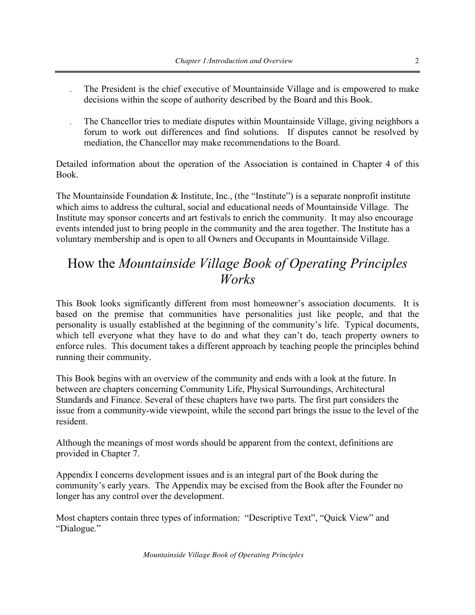- The President is the chief executive of Mountainside Village and is empowered to make decisions within the scope of authority described by the Board and this Book.
- The Chancellor tries to mediate disputes within Mountainside Village, giving neighbors a forum to work out differences and find solutions. If disputes cannot be resolved by mediation, the Chancellor may make recommendations to the Board.

Detailed information about the operation of the Association is contained in Chapter 4 of this Book.

The Mountainside Foundation & Institute, Inc., (the "Institute") is a separate nonprofit institute which aims to address the cultural, social and educational needs of Mountainside Village. The Institute may sponsor concerts and art festivals to enrich the community. It may also encourage events intended just to bring people in the community and the area together. The Institute has a voluntary membership and is open to all Owners and Occupants in Mountainside Village.

## How the *Mountainside Village Book of Operating Principles Works*

This Book looks significantly different from most homeowner's association documents. It is based on the premise that communities have personalities just like people, and that the personality is usually established at the beginning of the community's life. Typical documents, which tell everyone what they have to do and what they can't do, teach property owners to enforce rules. This document takes a different approach by teaching people the principles behind running their community.

This Book begins with an overview of the community and ends with a look at the future. In between are chapters concerning Community Life, Physical Surroundings, Architectural Standards and Finance. Several of these chapters have two parts. The first part considers the issue from a community-wide viewpoint, while the second part brings the issue to the level of the resident.

Although the meanings of most words should be apparent from the context, definitions are provided in Chapter 7.

Appendix I concerns development issues and is an integral part of the Book during the community's early years. The Appendix may be excised from the Book after the Founder no longer has any control over the development.

Most chapters contain three types of information: "Descriptive Text", "Quick View" and "Dialogue."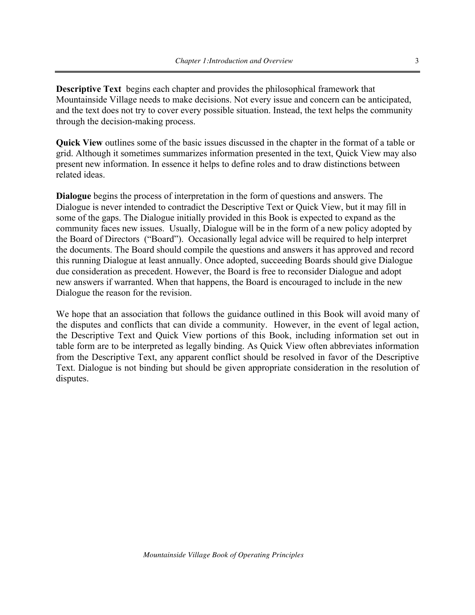**Descriptive Text** begins each chapter and provides the philosophical framework that Mountainside Village needs to make decisions. Not every issue and concern can be anticipated, and the text does not try to cover every possible situation. Instead, the text helps the community through the decision-making process.

**Quick View** outlines some of the basic issues discussed in the chapter in the format of a table or grid. Although it sometimes summarizes information presented in the text, Quick View may also present new information. In essence it helps to define roles and to draw distinctions between related ideas.

**Dialogue** begins the process of interpretation in the form of questions and answers. The Dialogue is never intended to contradict the Descriptive Text or Quick View, but it may fill in some of the gaps. The Dialogue initially provided in this Book is expected to expand as the community faces new issues. Usually, Dialogue will be in the form of a new policy adopted by the Board of Directors ("Board"). Occasionally legal advice will be required to help interpret the documents. The Board should compile the questions and answers it has approved and record this running Dialogue at least annually. Once adopted, succeeding Boards should give Dialogue due consideration as precedent. However, the Board is free to reconsider Dialogue and adopt new answers if warranted. When that happens, the Board is encouraged to include in the new Dialogue the reason for the revision.

We hope that an association that follows the guidance outlined in this Book will avoid many of the disputes and conflicts that can divide a community. However, in the event of legal action, the Descriptive Text and Quick View portions of this Book, including information set out in table form are to be interpreted as legally binding. As Quick View often abbreviates information from the Descriptive Text, any apparent conflict should be resolved in favor of the Descriptive Text. Dialogue is not binding but should be given appropriate consideration in the resolution of disputes.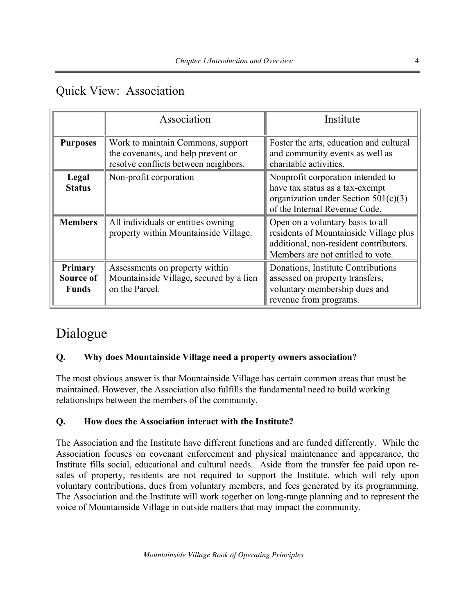## Quick View: Association

|                                             | Association                                                                                                     | Institute                                                                                                                                                 |
|---------------------------------------------|-----------------------------------------------------------------------------------------------------------------|-----------------------------------------------------------------------------------------------------------------------------------------------------------|
| <b>Purposes</b>                             | Work to maintain Commons, support<br>the covenants, and help prevent or<br>resolve conflicts between neighbors. | Foster the arts, education and cultural<br>and community events as well as<br>charitable activities.                                                      |
| Legal<br><b>Status</b>                      | Non-profit corporation                                                                                          | Nonprofit corporation intended to<br>have tax status as a tax-exempt<br>organization under Section $501(c)(3)$<br>of the Internal Revenue Code.           |
| <b>Members</b>                              | All individuals or entities owning<br>property within Mountainside Village.                                     | Open on a voluntary basis to all<br>residents of Mountainside Village plus<br>additional, non-resident contributors.<br>Members are not entitled to vote. |
| Primary<br><b>Source of</b><br><b>Funds</b> | Assessments on property within<br>Mountainside Village, secured by a lien<br>on the Parcel.                     | Donations, Institute Contributions<br>assessed on property transfers,<br>voluntary membership dues and<br>revenue from programs.                          |

## Dialogue

## **Q. Why does Mountainside Village need a property owners association?**

The most obvious answer is that Mountainside Village has certain common areas that must be maintained. However, the Association also fulfills the fundamental need to build working relationships between the members of the community.

#### **Q. How does the Association interact with the Institute?**

The Association and the Institute have different functions and are funded differently. While the Association focuses on covenant enforcement and physical maintenance and appearance, the Institute fills social, educational and cultural needs. Aside from the transfer fee paid upon resales of property, residents are not required to support the Institute, which will rely upon voluntary contributions, dues from voluntary members, and fees generated by its programming. The Association and the Institute will work together on long-range planning and to represent the voice of Mountainside Village in outside matters that may impact the community.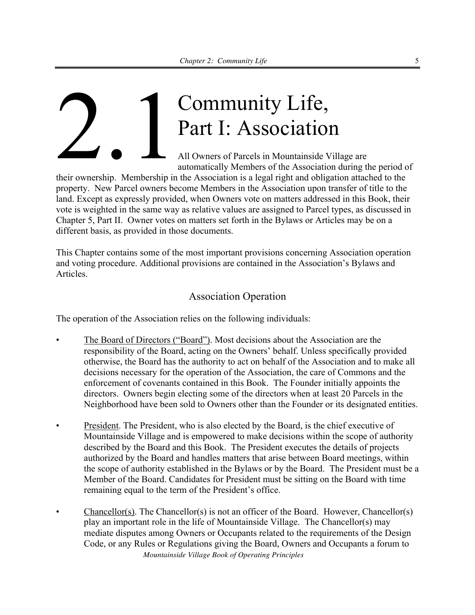## Community Life, Part I: Association 2.1

All Owners of Parcels in Mountainside Village are automatically Members of the Association during the period of

their ownership. Membership in the Association is a legal right and obligation attached to the property. New Parcel owners become Members in the Association upon transfer of title to the land. Except as expressly provided, when Owners vote on matters addressed in this Book, their vote is weighted in the same way as relative values are assigned to Parcel types, as discussed in Chapter 5, Part II. Owner votes on matters set forth in the Bylaws or Articles may be on a different basis, as provided in those documents.

This Chapter contains some of the most important provisions concerning Association operation and voting procedure. Additional provisions are contained in the Association's Bylaws and Articles.

## Association Operation

The operation of the Association relies on the following individuals:

- The Board of Directors ("Board"). Most decisions about the Association are the responsibility of the Board, acting on the Owners' behalf. Unless specifically provided otherwise, the Board has the authority to act on behalf of the Association and to make all decisions necessary for the operation of the Association, the care of Commons and the enforcement of covenants contained in this Book. The Founder initially appoints the directors. Owners begin electing some of the directors when at least 20 Parcels in the Neighborhood have been sold to Owners other than the Founder or its designated entities.
- President. The President, who is also elected by the Board, is the chief executive of Mountainside Village and is empowered to make decisions within the scope of authority described by the Board and this Book. The President executes the details of projects authorized by the Board and handles matters that arise between Board meetings, within the scope of authority established in the Bylaws or by the Board. The President must be a Member of the Board. Candidates for President must be sitting on the Board with time remaining equal to the term of the President's office.
- *Mountainside Village Book of Operating Principles* Chancellor(s). The Chancellor(s) is not an officer of the Board. However, Chancellor(s) play an important role in the life of Mountainside Village. The Chancellor(s) may mediate disputes among Owners or Occupants related to the requirements of the Design Code, or any Rules or Regulations giving the Board, Owners and Occupants a forum to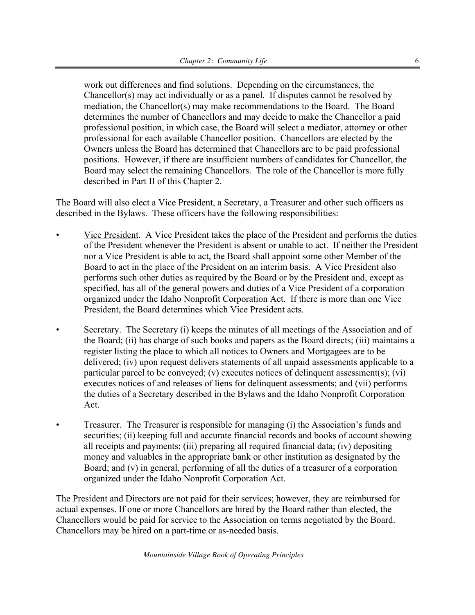work out differences and find solutions. Depending on the circumstances, the Chancellor(s) may act individually or as a panel. If disputes cannot be resolved by mediation, the Chancellor(s) may make recommendations to the Board. The Board determines the number of Chancellors and may decide to make the Chancellor a paid professional position, in which case, the Board will select a mediator, attorney or other professional for each available Chancellor position. Chancellors are elected by the Owners unless the Board has determined that Chancellors are to be paid professional positions. However, if there are insufficient numbers of candidates for Chancellor, the Board may select the remaining Chancellors. The role of the Chancellor is more fully described in Part II of this Chapter 2.

The Board will also elect a Vice President, a Secretary, a Treasurer and other such officers as described in the Bylaws. These officers have the following responsibilities:

- Vice President. A Vice President takes the place of the President and performs the duties of the President whenever the President is absent or unable to act. If neither the President nor a Vice President is able to act, the Board shall appoint some other Member of the Board to act in the place of the President on an interim basis. A Vice President also performs such other duties as required by the Board or by the President and, except as specified, has all of the general powers and duties of a Vice President of a corporation organized under the Idaho Nonprofit Corporation Act. If there is more than one Vice President, the Board determines which Vice President acts.
- Secretary. The Secretary (i) keeps the minutes of all meetings of the Association and of the Board; (ii) has charge of such books and papers as the Board directs; (iii) maintains a register listing the place to which all notices to Owners and Mortgagees are to be delivered; (iv) upon request delivers statements of all unpaid assessments applicable to a particular parcel to be conveyed; (v) executes notices of delinquent assessment(s); (vi) executes notices of and releases of liens for delinquent assessments; and (vii) performs the duties of a Secretary described in the Bylaws and the Idaho Nonprofit Corporation Act.
- Treasurer. The Treasurer is responsible for managing (i) the Association's funds and securities; (ii) keeping full and accurate financial records and books of account showing all receipts and payments; (iii) preparing all required financial data; (iv) depositing money and valuables in the appropriate bank or other institution as designated by the Board; and (v) in general, performing of all the duties of a treasurer of a corporation organized under the Idaho Nonprofit Corporation Act.

The President and Directors are not paid for their services; however, they are reimbursed for actual expenses. If one or more Chancellors are hired by the Board rather than elected, the Chancellors would be paid for service to the Association on terms negotiated by the Board. Chancellors may be hired on a part-time or as-needed basis.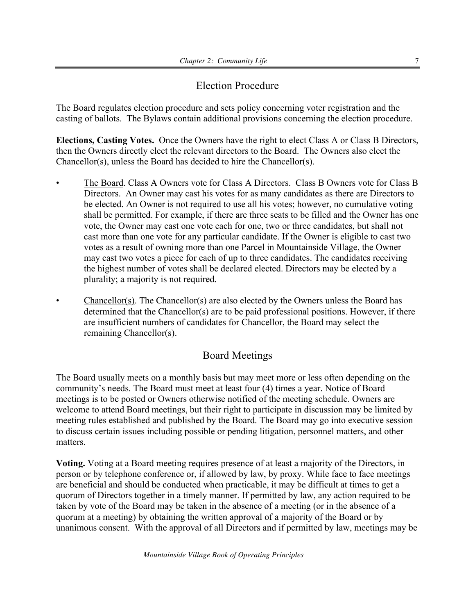## Election Procedure

The Board regulates election procedure and sets policy concerning voter registration and the casting of ballots. The Bylaws contain additional provisions concerning the election procedure.

**Elections, Casting Votes.** Once the Owners have the right to elect Class A or Class B Directors, then the Owners directly elect the relevant directors to the Board. The Owners also elect the Chancellor(s), unless the Board has decided to hire the Chancellor(s).

- The Board. Class A Owners vote for Class A Directors. Class B Owners vote for Class B Directors. An Owner may cast his votes for as many candidates as there are Directors to be elected. An Owner is not required to use all his votes; however, no cumulative voting shall be permitted. For example, if there are three seats to be filled and the Owner has one vote, the Owner may cast one vote each for one, two or three candidates, but shall not cast more than one vote for any particular candidate. If the Owner is eligible to cast two votes as a result of owning more than one Parcel in Mountainside Village, the Owner may cast two votes a piece for each of up to three candidates. The candidates receiving the highest number of votes shall be declared elected. Directors may be elected by a plurality; a majority is not required.
- Chancellor(s). The Chancellor(s) are also elected by the Owners unless the Board has determined that the Chancellor(s) are to be paid professional positions. However, if there are insufficient numbers of candidates for Chancellor, the Board may select the remaining Chancellor(s).

## Board Meetings

The Board usually meets on a monthly basis but may meet more or less often depending on the community's needs. The Board must meet at least four (4) times a year. Notice of Board meetings is to be posted or Owners otherwise notified of the meeting schedule. Owners are welcome to attend Board meetings, but their right to participate in discussion may be limited by meeting rules established and published by the Board. The Board may go into executive session to discuss certain issues including possible or pending litigation, personnel matters, and other matters.

**Voting.** Voting at a Board meeting requires presence of at least a majority of the Directors, in person or by telephone conference or, if allowed by law, by proxy. While face to face meetings are beneficial and should be conducted when practicable, it may be difficult at times to get a quorum of Directors together in a timely manner. If permitted by law, any action required to be taken by vote of the Board may be taken in the absence of a meeting (or in the absence of a quorum at a meeting) by obtaining the written approval of a majority of the Board or by unanimous consent. With the approval of all Directors and if permitted by law, meetings may be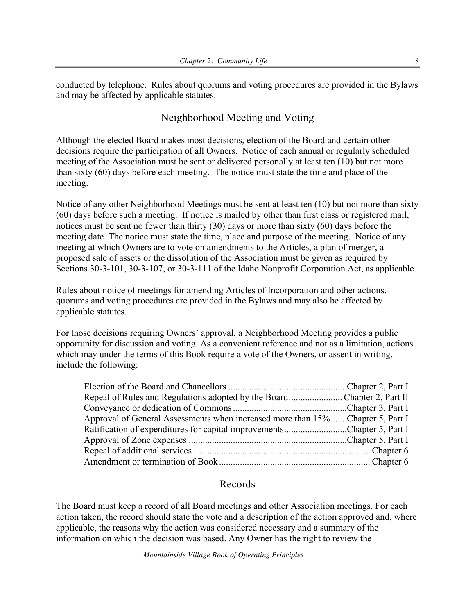conducted by telephone. Rules about quorums and voting procedures are provided in the Bylaws and may be affected by applicable statutes.

## Neighborhood Meeting and Voting

Although the elected Board makes most decisions, election of the Board and certain other decisions require the participation of all Owners. Notice of each annual or regularly scheduled meeting of the Association must be sent or delivered personally at least ten (10) but not more than sixty (60) days before each meeting. The notice must state the time and place of the meeting.

Notice of any other Neighborhood Meetings must be sent at least ten (10) but not more than sixty (60) days before such a meeting. If notice is mailed by other than first class or registered mail, notices must be sent no fewer than thirty (30) days or more than sixty (60) days before the meeting date. The notice must state the time, place and purpose of the meeting. Notice of any meeting at which Owners are to vote on amendments to the Articles, a plan of merger, a proposed sale of assets or the dissolution of the Association must be given as required by Sections 30-3-101, 30-3-107, or 30-3-111 of the Idaho Nonprofit Corporation Act, as applicable.

Rules about notice of meetings for amending Articles of Incorporation and other actions, quorums and voting procedures are provided in the Bylaws and may also be affected by applicable statutes.

For those decisions requiring Owners' approval, a Neighborhood Meeting provides a public opportunity for discussion and voting. As a convenient reference and not as a limitation, actions which may under the terms of this Book require a vote of the Owners, or assent in writing, include the following:

| Approval of General Assessments when increased more than 15%Chapter 5, Part I |  |
|-------------------------------------------------------------------------------|--|
| Ratification of expenditures for capital improvementsChapter 5, Part I        |  |
|                                                                               |  |
|                                                                               |  |
|                                                                               |  |

## Records

The Board must keep a record of all Board meetings and other Association meetings. For each action taken, the record should state the vote and a description of the action approved and, where applicable, the reasons why the action was considered necessary and a summary of the information on which the decision was based. Any Owner has the right to review the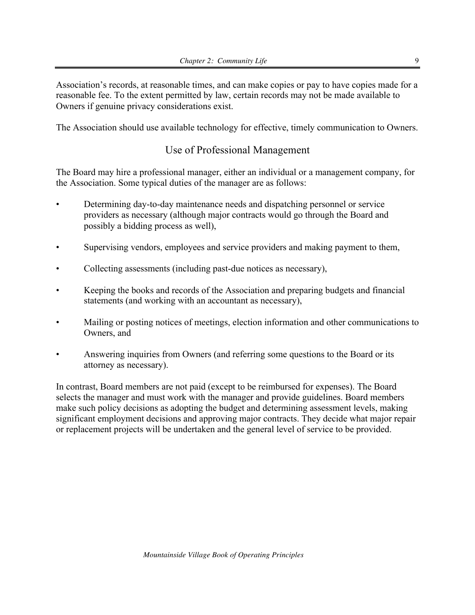Association's records, at reasonable times, and can make copies or pay to have copies made for a reasonable fee. To the extent permitted by law, certain records may not be made available to Owners if genuine privacy considerations exist.

The Association should use available technology for effective, timely communication to Owners.

## Use of Professional Management

The Board may hire a professional manager, either an individual or a management company, for the Association. Some typical duties of the manager are as follows:

- Determining day-to-day maintenance needs and dispatching personnel or service providers as necessary (although major contracts would go through the Board and possibly a bidding process as well),
- Supervising vendors, employees and service providers and making payment to them,
- Collecting assessments (including past-due notices as necessary),
- Keeping the books and records of the Association and preparing budgets and financial statements (and working with an accountant as necessary),
- Mailing or posting notices of meetings, election information and other communications to Owners, and
- Answering inquiries from Owners (and referring some questions to the Board or its attorney as necessary).

In contrast, Board members are not paid (except to be reimbursed for expenses). The Board selects the manager and must work with the manager and provide guidelines. Board members make such policy decisions as adopting the budget and determining assessment levels, making significant employment decisions and approving major contracts. They decide what major repair or replacement projects will be undertaken and the general level of service to be provided.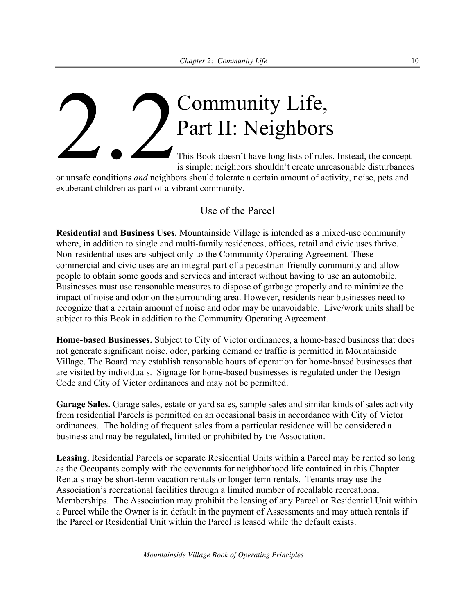## Community Life, Part II: Neighbors 2.2

This Book doesn't have long lists of rules. Instead, the concept is simple: neighbors shouldn't create unreasonable disturbances

or unsafe conditions *and* neighbors should tolerate a certain amount of activity, noise, pets and exuberant children as part of a vibrant community.

## Use of the Parcel

**Residential and Business Uses.** Mountainside Village is intended as a mixed-use community where, in addition to single and multi-family residences, offices, retail and civic uses thrive. Non-residential uses are subject only to the Community Operating Agreement. These commercial and civic uses are an integral part of a pedestrian-friendly community and allow people to obtain some goods and services and interact without having to use an automobile. Businesses must use reasonable measures to dispose of garbage properly and to minimize the impact of noise and odor on the surrounding area. However, residents near businesses need to recognize that a certain amount of noise and odor may be unavoidable. Live/work units shall be subject to this Book in addition to the Community Operating Agreement.

**Home-based Businesses.** Subject to City of Victor ordinances, a home-based business that does not generate significant noise, odor, parking demand or traffic is permitted in Mountainside Village. The Board may establish reasonable hours of operation for home-based businesses that are visited by individuals. Signage for home-based businesses is regulated under the Design Code and City of Victor ordinances and may not be permitted.

**Garage Sales.** Garage sales, estate or yard sales, sample sales and similar kinds of sales activity from residential Parcels is permitted on an occasional basis in accordance with City of Victor ordinances. The holding of frequent sales from a particular residence will be considered a business and may be regulated, limited or prohibited by the Association.

**Leasing.** Residential Parcels or separate Residential Units within a Parcel may be rented so long as the Occupants comply with the covenants for neighborhood life contained in this Chapter. Rentals may be short-term vacation rentals or longer term rentals. Tenants may use the Association's recreational facilities through a limited number of recallable recreational Memberships. The Association may prohibit the leasing of any Parcel or Residential Unit within a Parcel while the Owner is in default in the payment of Assessments and may attach rentals if the Parcel or Residential Unit within the Parcel is leased while the default exists.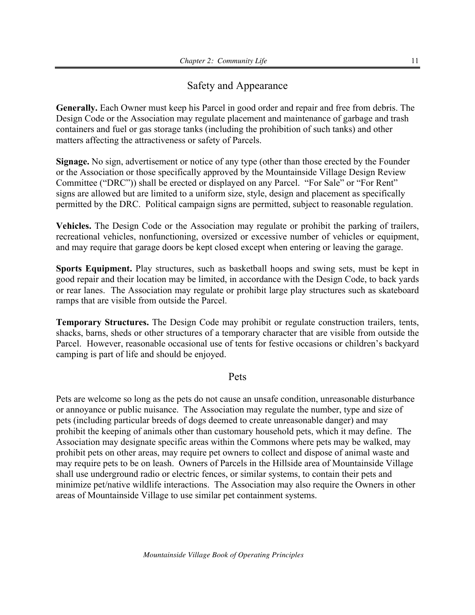## Safety and Appearance

**Generally.** Each Owner must keep his Parcel in good order and repair and free from debris. The Design Code or the Association may regulate placement and maintenance of garbage and trash containers and fuel or gas storage tanks (including the prohibition of such tanks) and other matters affecting the attractiveness or safety of Parcels.

**Signage.** No sign, advertisement or notice of any type (other than those erected by the Founder or the Association or those specifically approved by the Mountainside Village Design Review Committee ("DRC")) shall be erected or displayed on any Parcel. "For Sale" or "For Rent" signs are allowed but are limited to a uniform size, style, design and placement as specifically permitted by the DRC. Political campaign signs are permitted, subject to reasonable regulation.

**Vehicles.** The Design Code or the Association may regulate or prohibit the parking of trailers, recreational vehicles, nonfunctioning, oversized or excessive number of vehicles or equipment, and may require that garage doors be kept closed except when entering or leaving the garage.

**Sports Equipment.** Play structures, such as basketball hoops and swing sets, must be kept in good repair and their location may be limited, in accordance with the Design Code, to back yards or rear lanes. The Association may regulate or prohibit large play structures such as skateboard ramps that are visible from outside the Parcel.

**Temporary Structures.** The Design Code may prohibit or regulate construction trailers, tents, shacks, barns, sheds or other structures of a temporary character that are visible from outside the Parcel. However, reasonable occasional use of tents for festive occasions or children's backyard camping is part of life and should be enjoyed.

#### Pets

Pets are welcome so long as the pets do not cause an unsafe condition, unreasonable disturbance or annoyance or public nuisance. The Association may regulate the number, type and size of pets (including particular breeds of dogs deemed to create unreasonable danger) and may prohibit the keeping of animals other than customary household pets, which it may define. The Association may designate specific areas within the Commons where pets may be walked, may prohibit pets on other areas, may require pet owners to collect and dispose of animal waste and may require pets to be on leash. Owners of Parcels in the Hillside area of Mountainside Village shall use underground radio or electric fences, or similar systems, to contain their pets and minimize pet/native wildlife interactions. The Association may also require the Owners in other areas of Mountainside Village to use similar pet containment systems.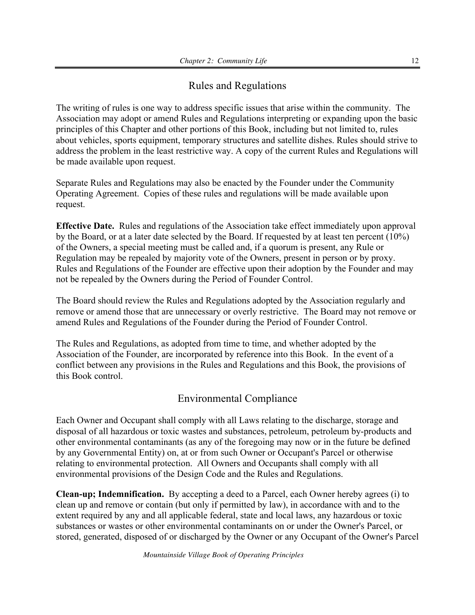## Rules and Regulations

The writing of rules is one way to address specific issues that arise within the community. The Association may adopt or amend Rules and Regulations interpreting or expanding upon the basic principles of this Chapter and other portions of this Book, including but not limited to, rules about vehicles, sports equipment, temporary structures and satellite dishes. Rules should strive to address the problem in the least restrictive way. A copy of the current Rules and Regulations will be made available upon request.

Separate Rules and Regulations may also be enacted by the Founder under the Community Operating Agreement. Copies of these rules and regulations will be made available upon request.

**Effective Date.** Rules and regulations of the Association take effect immediately upon approval by the Board, or at a later date selected by the Board. If requested by at least ten percent (10%) of the Owners, a special meeting must be called and, if a quorum is present, any Rule or Regulation may be repealed by majority vote of the Owners, present in person or by proxy. Rules and Regulations of the Founder are effective upon their adoption by the Founder and may not be repealed by the Owners during the Period of Founder Control.

The Board should review the Rules and Regulations adopted by the Association regularly and remove or amend those that are unnecessary or overly restrictive. The Board may not remove or amend Rules and Regulations of the Founder during the Period of Founder Control.

The Rules and Regulations, as adopted from time to time, and whether adopted by the Association of the Founder, are incorporated by reference into this Book. In the event of a conflict between any provisions in the Rules and Regulations and this Book, the provisions of this Book control.

## Environmental Compliance

Each Owner and Occupant shall comply with all Laws relating to the discharge, storage and disposal of all hazardous or toxic wastes and substances, petroleum, petroleum by-products and other environmental contaminants (as any of the foregoing may now or in the future be defined by any Governmental Entity) on, at or from such Owner or Occupant's Parcel or otherwise relating to environmental protection. All Owners and Occupants shall comply with all environmental provisions of the Design Code and the Rules and Regulations.

**Clean-up; Indemnification.** By accepting a deed to a Parcel, each Owner hereby agrees (i) to clean up and remove or contain (but only if permitted by law), in accordance with and to the extent required by any and all applicable federal, state and local laws, any hazardous or toxic substances or wastes or other environmental contaminants on or under the Owner's Parcel, or stored, generated, disposed of or discharged by the Owner or any Occupant of the Owner's Parcel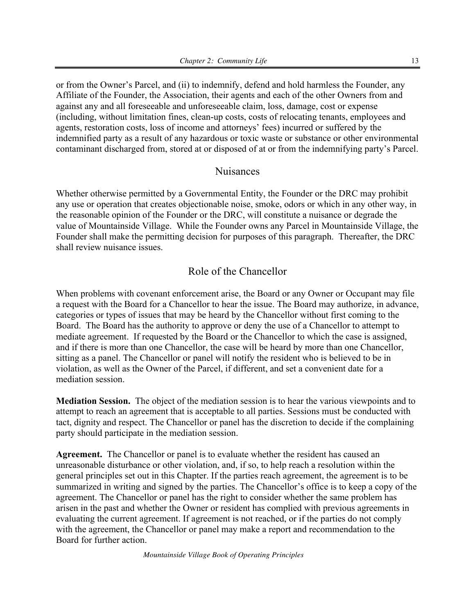or from the Owner's Parcel, and (ii) to indemnify, defend and hold harmless the Founder, any Affiliate of the Founder, the Association, their agents and each of the other Owners from and against any and all foreseeable and unforeseeable claim, loss, damage, cost or expense (including, without limitation fines, clean-up costs, costs of relocating tenants, employees and agents, restoration costs, loss of income and attorneys' fees) incurred or suffered by the indemnified party as a result of any hazardous or toxic waste or substance or other environmental contaminant discharged from, stored at or disposed of at or from the indemnifying party's Parcel.

#### Nuisances

Whether otherwise permitted by a Governmental Entity, the Founder or the DRC may prohibit any use or operation that creates objectionable noise, smoke, odors or which in any other way, in the reasonable opinion of the Founder or the DRC, will constitute a nuisance or degrade the value of Mountainside Village. While the Founder owns any Parcel in Mountainside Village, the Founder shall make the permitting decision for purposes of this paragraph. Thereafter, the DRC shall review nuisance issues.

## Role of the Chancellor

When problems with covenant enforcement arise, the Board or any Owner or Occupant may file a request with the Board for a Chancellor to hear the issue. The Board may authorize, in advance, categories or types of issues that may be heard by the Chancellor without first coming to the Board. The Board has the authority to approve or deny the use of a Chancellor to attempt to mediate agreement. If requested by the Board or the Chancellor to which the case is assigned, and if there is more than one Chancellor, the case will be heard by more than one Chancellor, sitting as a panel. The Chancellor or panel will notify the resident who is believed to be in violation, as well as the Owner of the Parcel, if different, and set a convenient date for a mediation session.

**Mediation Session.** The object of the mediation session is to hear the various viewpoints and to attempt to reach an agreement that is acceptable to all parties. Sessions must be conducted with tact, dignity and respect. The Chancellor or panel has the discretion to decide if the complaining party should participate in the mediation session.

**Agreement.** The Chancellor or panel is to evaluate whether the resident has caused an unreasonable disturbance or other violation, and, if so, to help reach a resolution within the general principles set out in this Chapter. If the parties reach agreement, the agreement is to be summarized in writing and signed by the parties. The Chancellor's office is to keep a copy of the agreement. The Chancellor or panel has the right to consider whether the same problem has arisen in the past and whether the Owner or resident has complied with previous agreements in evaluating the current agreement. If agreement is not reached, or if the parties do not comply with the agreement, the Chancellor or panel may make a report and recommendation to the Board for further action.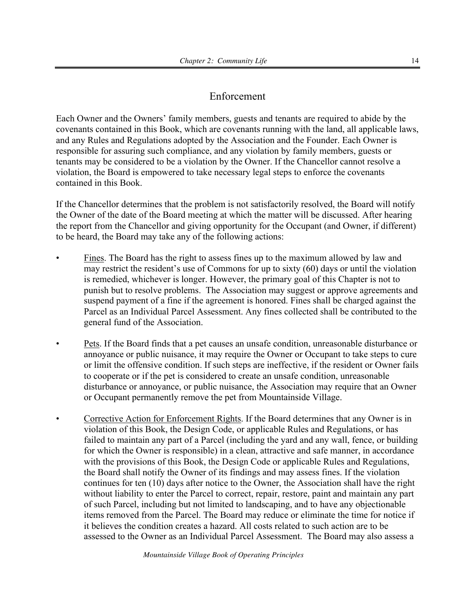## Enforcement

Each Owner and the Owners' family members, guests and tenants are required to abide by the covenants contained in this Book, which are covenants running with the land, all applicable laws, and any Rules and Regulations adopted by the Association and the Founder. Each Owner is responsible for assuring such compliance, and any violation by family members, guests or tenants may be considered to be a violation by the Owner. If the Chancellor cannot resolve a violation, the Board is empowered to take necessary legal steps to enforce the covenants contained in this Book.

If the Chancellor determines that the problem is not satisfactorily resolved, the Board will notify the Owner of the date of the Board meeting at which the matter will be discussed. After hearing the report from the Chancellor and giving opportunity for the Occupant (and Owner, if different) to be heard, the Board may take any of the following actions:

- Fines. The Board has the right to assess fines up to the maximum allowed by law and may restrict the resident's use of Commons for up to sixty (60) days or until the violation is remedied, whichever is longer. However, the primary goal of this Chapter is not to punish but to resolve problems. The Association may suggest or approve agreements and suspend payment of a fine if the agreement is honored. Fines shall be charged against the Parcel as an Individual Parcel Assessment. Any fines collected shall be contributed to the general fund of the Association.
- Pets. If the Board finds that a pet causes an unsafe condition, unreasonable disturbance or annoyance or public nuisance, it may require the Owner or Occupant to take steps to cure or limit the offensive condition. If such steps are ineffective, if the resident or Owner fails to cooperate or if the pet is considered to create an unsafe condition, unreasonable disturbance or annoyance, or public nuisance, the Association may require that an Owner or Occupant permanently remove the pet from Mountainside Village.
- Corrective Action for Enforcement Rights. If the Board determines that any Owner is in violation of this Book, the Design Code, or applicable Rules and Regulations, or has failed to maintain any part of a Parcel (including the yard and any wall, fence, or building for which the Owner is responsible) in a clean, attractive and safe manner, in accordance with the provisions of this Book, the Design Code or applicable Rules and Regulations, the Board shall notify the Owner of its findings and may assess fines. If the violation continues for ten (10) days after notice to the Owner, the Association shall have the right without liability to enter the Parcel to correct, repair, restore, paint and maintain any part of such Parcel, including but not limited to landscaping, and to have any objectionable items removed from the Parcel. The Board may reduce or eliminate the time for notice if it believes the condition creates a hazard. All costs related to such action are to be assessed to the Owner as an Individual Parcel Assessment. The Board may also assess a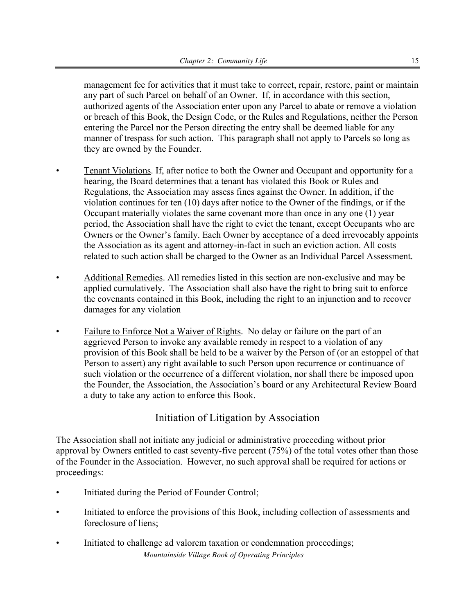management fee for activities that it must take to correct, repair, restore, paint or maintain any part of such Parcel on behalf of an Owner. If, in accordance with this section, authorized agents of the Association enter upon any Parcel to abate or remove a violation or breach of this Book, the Design Code, or the Rules and Regulations, neither the Person entering the Parcel nor the Person directing the entry shall be deemed liable for any manner of trespass for such action. This paragraph shall not apply to Parcels so long as they are owned by the Founder.

- Tenant Violations. If, after notice to both the Owner and Occupant and opportunity for a hearing, the Board determines that a tenant has violated this Book or Rules and Regulations, the Association may assess fines against the Owner. In addition, if the violation continues for ten (10) days after notice to the Owner of the findings, or if the Occupant materially violates the same covenant more than once in any one (1) year period, the Association shall have the right to evict the tenant, except Occupants who are Owners or the Owner's family. Each Owner by acceptance of a deed irrevocably appoints the Association as its agent and attorney-in-fact in such an eviction action. All costs related to such action shall be charged to the Owner as an Individual Parcel Assessment.
- Additional Remedies. All remedies listed in this section are non-exclusive and may be applied cumulatively. The Association shall also have the right to bring suit to enforce the covenants contained in this Book, including the right to an injunction and to recover damages for any violation
- Failure to Enforce Not a Waiver of Rights. No delay or failure on the part of an aggrieved Person to invoke any available remedy in respect to a violation of any provision of this Book shall be held to be a waiver by the Person of (or an estoppel of that Person to assert) any right available to such Person upon recurrence or continuance of such violation or the occurrence of a different violation, nor shall there be imposed upon the Founder, the Association, the Association's board or any Architectural Review Board a duty to take any action to enforce this Book.

## Initiation of Litigation by Association

The Association shall not initiate any judicial or administrative proceeding without prior approval by Owners entitled to cast seventy-five percent (75%) of the total votes other than those of the Founder in the Association. However, no such approval shall be required for actions or proceedings:

- Initiated during the Period of Founder Control;
- Initiated to enforce the provisions of this Book, including collection of assessments and foreclosure of liens;
- *Mountainside Village Book of Operating Principles* Initiated to challenge ad valorem taxation or condemnation proceedings;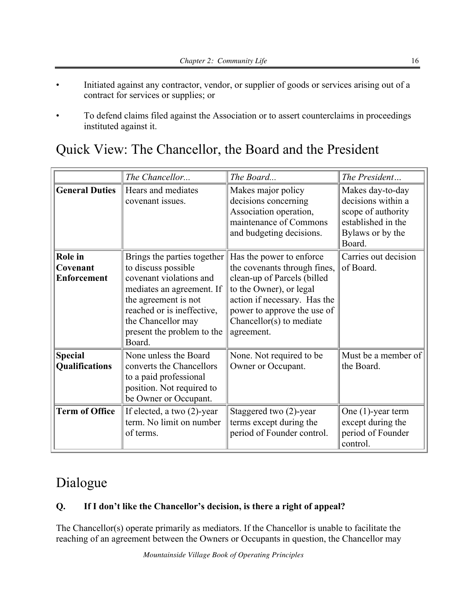- Initiated against any contractor, vendor, or supplier of goods or services arising out of a contract for services or supplies; or
- To defend claims filed against the Association or to assert counterclaims in proceedings instituted against it.

## Quick View: The Chancellor, the Board and the President

|                                           | The Chancellor                                                                                                                                                                                                                             | The Board                                                                                                                                                                                                                   | The President                                                                                                    |
|-------------------------------------------|--------------------------------------------------------------------------------------------------------------------------------------------------------------------------------------------------------------------------------------------|-----------------------------------------------------------------------------------------------------------------------------------------------------------------------------------------------------------------------------|------------------------------------------------------------------------------------------------------------------|
| <b>General Duties</b>                     | Hears and mediates<br>covenant issues.                                                                                                                                                                                                     | Makes major policy<br>decisions concerning<br>Association operation,<br>maintenance of Commons<br>and budgeting decisions.                                                                                                  | Makes day-to-day<br>decisions within a<br>scope of authority<br>established in the<br>Bylaws or by the<br>Board. |
| Role in<br>Covenant<br><b>Enforcement</b> | Brings the parties together $\parallel$<br>to discuss possible<br>covenant violations and<br>mediates an agreement. If<br>the agreement is not<br>reached or is ineffective,<br>the Chancellor may<br>present the problem to the<br>Board. | Has the power to enforce<br>the covenants through fines,<br>clean-up of Parcels (billed<br>to the Owner), or legal<br>action if necessary. Has the<br>power to approve the use of<br>Chancellor(s) to mediate<br>agreement. | Carries out decision<br>of Board.                                                                                |
| <b>Special</b><br>Qualifications          | None unless the Board<br>converts the Chancellors<br>to a paid professional<br>position. Not required to<br>be Owner or Occupant.                                                                                                          | None. Not required to be<br>Owner or Occupant.                                                                                                                                                                              | Must be a member of<br>the Board.                                                                                |
| <b>Term of Office</b>                     | If elected, a two (2)-year<br>term. No limit on number<br>of terms.                                                                                                                                                                        | Staggered two (2)-year<br>terms except during the<br>period of Founder control.                                                                                                                                             | One $(1)$ -year term<br>except during the<br>period of Founder<br>control.                                       |

## Dialogue

## **Q. If I don't like the Chancellor's decision, is there a right of appeal?**

The Chancellor(s) operate primarily as mediators. If the Chancellor is unable to facilitate the reaching of an agreement between the Owners or Occupants in question, the Chancellor may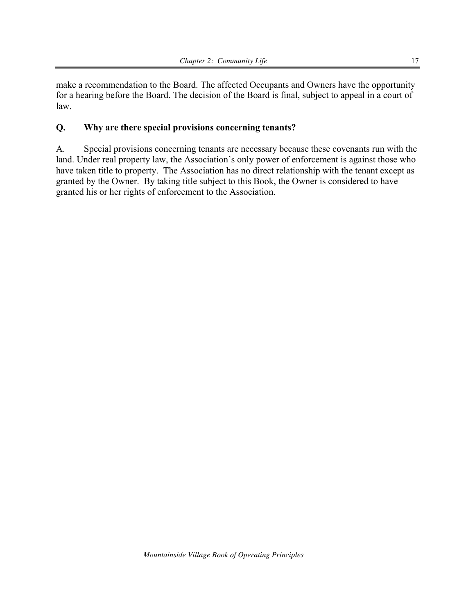make a recommendation to the Board. The affected Occupants and Owners have the opportunity for a hearing before the Board. The decision of the Board is final, subject to appeal in a court of law.

#### **Q. Why are there special provisions concerning tenants?**

A. Special provisions concerning tenants are necessary because these covenants run with the land. Under real property law, the Association's only power of enforcement is against those who have taken title to property. The Association has no direct relationship with the tenant except as granted by the Owner. By taking title subject to this Book, the Owner is considered to have granted his or her rights of enforcement to the Association.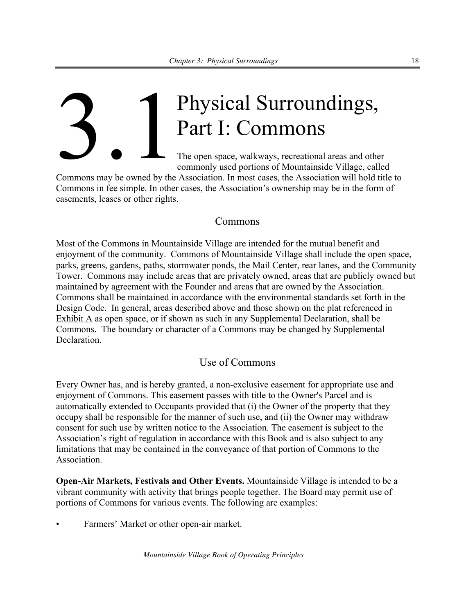## Physical Surroundings, Part I: Commons **3.1**

The open space, walkways, recreational areas and other commonly used portions of Mountainside Village, called

Commons may be owned by the Association. In most cases, the Association will hold title to Commons in fee simple. In other cases, the Association's ownership may be in the form of easements, leases or other rights.

## Commons

Most of the Commons in Mountainside Village are intended for the mutual benefit and enjoyment of the community. Commons of Mountainside Village shall include the open space, parks, greens, gardens, paths, stormwater ponds, the Mail Center, rear lanes, and the Community Tower. Commons may include areas that are privately owned, areas that are publicly owned but maintained by agreement with the Founder and areas that are owned by the Association. Commons shall be maintained in accordance with the environmental standards set forth in the Design Code. In general, areas described above and those shown on the plat referenced in Exhibit  $\overline{A}$  as open space, or if shown as such in any Supplemental Declaration, shall be Commons. The boundary or character of a Commons may be changed by Supplemental **Declaration** 

## Use of Commons

Every Owner has, and is hereby granted, a non-exclusive easement for appropriate use and enjoyment of Commons. This easement passes with title to the Owner's Parcel and is automatically extended to Occupants provided that (i) the Owner of the property that they occupy shall be responsible for the manner of such use, and (ii) the Owner may withdraw consent for such use by written notice to the Association. The easement is subject to the Association's right of regulation in accordance with this Book and is also subject to any limitations that may be contained in the conveyance of that portion of Commons to the Association.

**Open-Air Markets, Festivals and Other Events.** Mountainside Village is intended to be a vibrant community with activity that brings people together. The Board may permit use of portions of Commons for various events. The following are examples:

• Farmers' Market or other open-air market.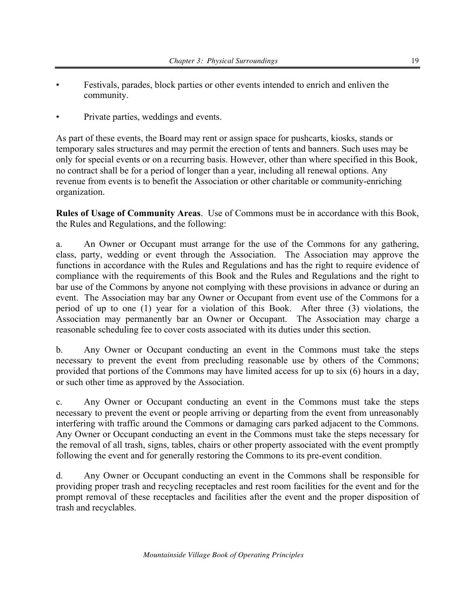- Festivals, parades, block parties or other events intended to enrich and enliven the community.
- Private parties, weddings and events.

As part of these events, the Board may rent or assign space for pushcarts, kiosks, stands or temporary sales structures and may permit the erection of tents and banners. Such uses may be only for special events or on a recurring basis. However, other than where specified in this Book, no contract shall be for a period of longer than a year, including all renewal options. Any revenue from events is to benefit the Association or other charitable or community-enriching organization.

**Rules of Usage of Community Areas**. Use of Commons must be in accordance with this Book, the Rules and Regulations, and the following:

a. An Owner or Occupant must arrange for the use of the Commons for any gathering, class, party, wedding or event through the Association. The Association may approve the functions in accordance with the Rules and Regulations and has the right to require evidence of compliance with the requirements of this Book and the Rules and Regulations and the right to bar use of the Commons by anyone not complying with these provisions in advance or during an event. The Association may bar any Owner or Occupant from event use of the Commons for a period of up to one (1) year for a violation of this Book. After three (3) violations, the Association may permanently bar an Owner or Occupant. The Association may charge a reasonable scheduling fee to cover costs associated with its duties under this section.

b. Any Owner or Occupant conducting an event in the Commons must take the steps necessary to prevent the event from precluding reasonable use by others of the Commons; provided that portions of the Commons may have limited access for up to six (6) hours in a day, or such other time as approved by the Association.

c. Any Owner or Occupant conducting an event in the Commons must take the steps necessary to prevent the event or people arriving or departing from the event from unreasonably interfering with traffic around the Commons or damaging cars parked adjacent to the Commons. Any Owner or Occupant conducting an event in the Commons must take the steps necessary for the removal of all trash, signs, tables, chairs or other property associated with the event promptly following the event and for generally restoring the Commons to its pre-event condition.

d. Any Owner or Occupant conducting an event in the Commons shall be responsible for providing proper trash and recycling receptacles and rest room facilities for the event and for the prompt removal of these receptacles and facilities after the event and the proper disposition of trash and recyclables.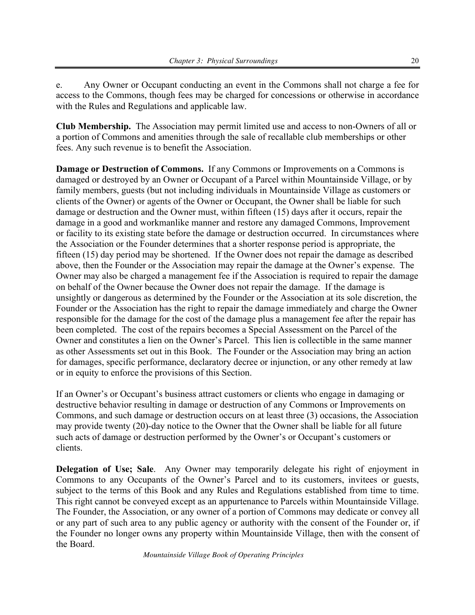e. Any Owner or Occupant conducting an event in the Commons shall not charge a fee for access to the Commons, though fees may be charged for concessions or otherwise in accordance with the Rules and Regulations and applicable law.

**Club Membership.** The Association may permit limited use and access to non-Owners of all or a portion of Commons and amenities through the sale of recallable club memberships or other fees. Any such revenue is to benefit the Association.

**Damage or Destruction of Commons.** If any Commons or Improvements on a Commons is damaged or destroyed by an Owner or Occupant of a Parcel within Mountainside Village, or by family members, guests (but not including individuals in Mountainside Village as customers or clients of the Owner) or agents of the Owner or Occupant, the Owner shall be liable for such damage or destruction and the Owner must, within fifteen (15) days after it occurs, repair the damage in a good and workmanlike manner and restore any damaged Commons, Improvement or facility to its existing state before the damage or destruction occurred. In circumstances where the Association or the Founder determines that a shorter response period is appropriate, the fifteen (15) day period may be shortened. If the Owner does not repair the damage as described above, then the Founder or the Association may repair the damage at the Owner's expense. The Owner may also be charged a management fee if the Association is required to repair the damage on behalf of the Owner because the Owner does not repair the damage. If the damage is unsightly or dangerous as determined by the Founder or the Association at its sole discretion, the Founder or the Association has the right to repair the damage immediately and charge the Owner responsible for the damage for the cost of the damage plus a management fee after the repair has been completed. The cost of the repairs becomes a Special Assessment on the Parcel of the Owner and constitutes a lien on the Owner's Parcel. This lien is collectible in the same manner as other Assessments set out in this Book. The Founder or the Association may bring an action for damages, specific performance, declaratory decree or injunction, or any other remedy at law or in equity to enforce the provisions of this Section.

If an Owner's or Occupant's business attract customers or clients who engage in damaging or destructive behavior resulting in damage or destruction of any Commons or Improvements on Commons, and such damage or destruction occurs on at least three (3) occasions, the Association may provide twenty (20)-day notice to the Owner that the Owner shall be liable for all future such acts of damage or destruction performed by the Owner's or Occupant's customers or clients.

**Delegation of Use; Sale.** Any Owner may temporarily delegate his right of enjoyment in Commons to any Occupants of the Owner's Parcel and to its customers, invitees or guests, subject to the terms of this Book and any Rules and Regulations established from time to time. This right cannot be conveyed except as an appurtenance to Parcels within Mountainside Village. The Founder, the Association, or any owner of a portion of Commons may dedicate or convey all or any part of such area to any public agency or authority with the consent of the Founder or, if the Founder no longer owns any property within Mountainside Village, then with the consent of the Board.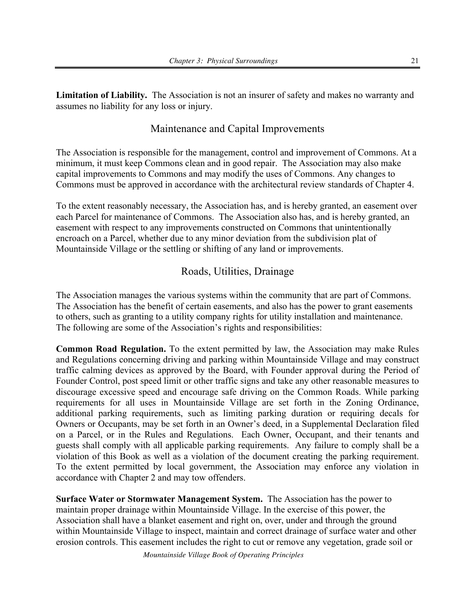**Limitation of Liability.** The Association is not an insurer of safety and makes no warranty and assumes no liability for any loss or injury.

## Maintenance and Capital Improvements

The Association is responsible for the management, control and improvement of Commons. At a minimum, it must keep Commons clean and in good repair. The Association may also make capital improvements to Commons and may modify the uses of Commons. Any changes to Commons must be approved in accordance with the architectural review standards of Chapter 4.

To the extent reasonably necessary, the Association has, and is hereby granted, an easement over each Parcel for maintenance of Commons. The Association also has, and is hereby granted, an easement with respect to any improvements constructed on Commons that unintentionally encroach on a Parcel, whether due to any minor deviation from the subdivision plat of Mountainside Village or the settling or shifting of any land or improvements.

## Roads, Utilities, Drainage

The Association manages the various systems within the community that are part of Commons. The Association has the benefit of certain easements, and also has the power to grant easements to others, such as granting to a utility company rights for utility installation and maintenance. The following are some of the Association's rights and responsibilities:

**Common Road Regulation.** To the extent permitted by law, the Association may make Rules and Regulations concerning driving and parking within Mountainside Village and may construct traffic calming devices as approved by the Board, with Founder approval during the Period of Founder Control, post speed limit or other traffic signs and take any other reasonable measures to discourage excessive speed and encourage safe driving on the Common Roads. While parking requirements for all uses in Mountainside Village are set forth in the Zoning Ordinance, additional parking requirements, such as limiting parking duration or requiring decals for Owners or Occupants, may be set forth in an Owner's deed, in a Supplemental Declaration filed on a Parcel, or in the Rules and Regulations. Each Owner, Occupant, and their tenants and guests shall comply with all applicable parking requirements. Any failure to comply shall be a violation of this Book as well as a violation of the document creating the parking requirement. To the extent permitted by local government, the Association may enforce any violation in accordance with Chapter 2 and may tow offenders.

**Surface Water or Stormwater Management System.** The Association has the power to maintain proper drainage within Mountainside Village. In the exercise of this power, the Association shall have a blanket easement and right on, over, under and through the ground within Mountainside Village to inspect, maintain and correct drainage of surface water and other erosion controls. This easement includes the right to cut or remove any vegetation, grade soil or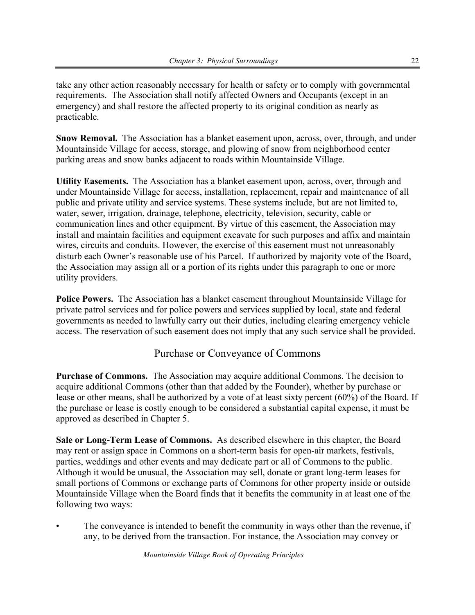take any other action reasonably necessary for health or safety or to comply with governmental requirements. The Association shall notify affected Owners and Occupants (except in an emergency) and shall restore the affected property to its original condition as nearly as practicable.

**Snow Removal.** The Association has a blanket easement upon, across, over, through, and under Mountainside Village for access, storage, and plowing of snow from neighborhood center parking areas and snow banks adjacent to roads within Mountainside Village.

**Utility Easements.** The Association has a blanket easement upon, across, over, through and under Mountainside Village for access, installation, replacement, repair and maintenance of all public and private utility and service systems. These systems include, but are not limited to, water, sewer, irrigation, drainage, telephone, electricity, television, security, cable or communication lines and other equipment. By virtue of this easement, the Association may install and maintain facilities and equipment excavate for such purposes and affix and maintain wires, circuits and conduits. However, the exercise of this easement must not unreasonably disturb each Owner's reasonable use of his Parcel. If authorized by majority vote of the Board, the Association may assign all or a portion of its rights under this paragraph to one or more utility providers.

**Police Powers.** The Association has a blanket easement throughout Mountainside Village for private patrol services and for police powers and services supplied by local, state and federal governments as needed to lawfully carry out their duties, including clearing emergency vehicle access. The reservation of such easement does not imply that any such service shall be provided.

## Purchase or Conveyance of Commons

**Purchase of Commons.** The Association may acquire additional Commons. The decision to acquire additional Commons (other than that added by the Founder), whether by purchase or lease or other means, shall be authorized by a vote of at least sixty percent (60%) of the Board. If the purchase or lease is costly enough to be considered a substantial capital expense, it must be approved as described in Chapter 5.

**Sale or Long-Term Lease of Commons.** As described elsewhere in this chapter, the Board may rent or assign space in Commons on a short-term basis for open-air markets, festivals, parties, weddings and other events and may dedicate part or all of Commons to the public. Although it would be unusual, the Association may sell, donate or grant long-term leases for small portions of Commons or exchange parts of Commons for other property inside or outside Mountainside Village when the Board finds that it benefits the community in at least one of the following two ways:

The conveyance is intended to benefit the community in ways other than the revenue, if any, to be derived from the transaction. For instance, the Association may convey or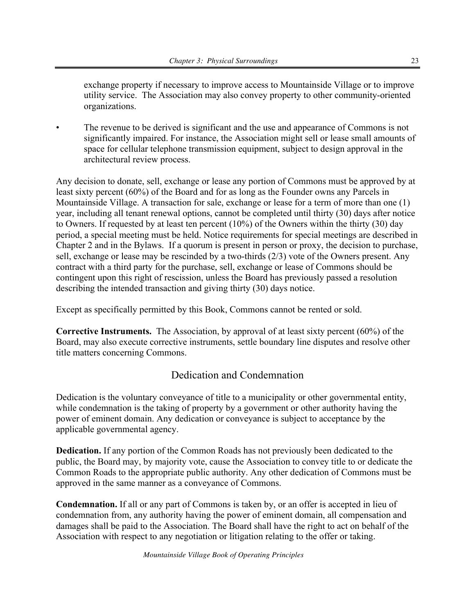exchange property if necessary to improve access to Mountainside Village or to improve utility service. The Association may also convey property to other community-oriented organizations.

The revenue to be derived is significant and the use and appearance of Commons is not significantly impaired. For instance, the Association might sell or lease small amounts of space for cellular telephone transmission equipment, subject to design approval in the architectural review process.

Any decision to donate, sell, exchange or lease any portion of Commons must be approved by at least sixty percent (60%) of the Board and for as long as the Founder owns any Parcels in Mountainside Village. A transaction for sale, exchange or lease for a term of more than one (1) year, including all tenant renewal options, cannot be completed until thirty (30) days after notice to Owners. If requested by at least ten percent (10%) of the Owners within the thirty (30) day period, a special meeting must be held. Notice requirements for special meetings are described in Chapter 2 and in the Bylaws. If a quorum is present in person or proxy, the decision to purchase, sell, exchange or lease may be rescinded by a two-thirds (2/3) vote of the Owners present. Any contract with a third party for the purchase, sell, exchange or lease of Commons should be contingent upon this right of rescission, unless the Board has previously passed a resolution describing the intended transaction and giving thirty (30) days notice.

Except as specifically permitted by this Book, Commons cannot be rented or sold.

**Corrective Instruments.** The Association, by approval of at least sixty percent (60%) of the Board, may also execute corrective instruments, settle boundary line disputes and resolve other title matters concerning Commons.

## Dedication and Condemnation

Dedication is the voluntary conveyance of title to a municipality or other governmental entity, while condemnation is the taking of property by a government or other authority having the power of eminent domain. Any dedication or conveyance is subject to acceptance by the applicable governmental agency.

**Dedication.** If any portion of the Common Roads has not previously been dedicated to the public, the Board may, by majority vote, cause the Association to convey title to or dedicate the Common Roads to the appropriate public authority. Any other dedication of Commons must be approved in the same manner as a conveyance of Commons.

**Condemnation.** If all or any part of Commons is taken by, or an offer is accepted in lieu of condemnation from, any authority having the power of eminent domain, all compensation and damages shall be paid to the Association. The Board shall have the right to act on behalf of the Association with respect to any negotiation or litigation relating to the offer or taking.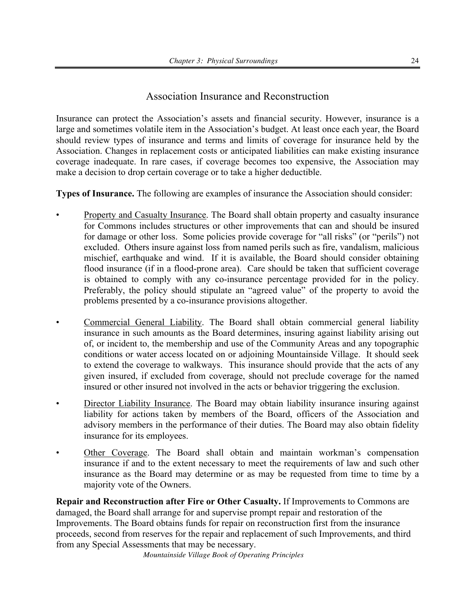## Association Insurance and Reconstruction

Insurance can protect the Association's assets and financial security. However, insurance is a large and sometimes volatile item in the Association's budget. At least once each year, the Board should review types of insurance and terms and limits of coverage for insurance held by the Association. Changes in replacement costs or anticipated liabilities can make existing insurance coverage inadequate. In rare cases, if coverage becomes too expensive, the Association may make a decision to drop certain coverage or to take a higher deductible.

**Types of Insurance.** The following are examples of insurance the Association should consider:

- Property and Casualty Insurance. The Board shall obtain property and casualty insurance for Commons includes structures or other improvements that can and should be insured for damage or other loss. Some policies provide coverage for "all risks" (or "perils") not excluded. Others insure against loss from named perils such as fire, vandalism, malicious mischief, earthquake and wind. If it is available, the Board should consider obtaining flood insurance (if in a flood-prone area). Care should be taken that sufficient coverage is obtained to comply with any co-insurance percentage provided for in the policy. Preferably, the policy should stipulate an "agreed value" of the property to avoid the problems presented by a co-insurance provisions altogether.
- Commercial General Liability. The Board shall obtain commercial general liability insurance in such amounts as the Board determines, insuring against liability arising out of, or incident to, the membership and use of the Community Areas and any topographic conditions or water access located on or adjoining Mountainside Village. It should seek to extend the coverage to walkways. This insurance should provide that the acts of any given insured, if excluded from coverage, should not preclude coverage for the named insured or other insured not involved in the acts or behavior triggering the exclusion.
- Director Liability Insurance. The Board may obtain liability insurance insuring against liability for actions taken by members of the Board, officers of the Association and advisory members in the performance of their duties. The Board may also obtain fidelity insurance for its employees.
- Other Coverage. The Board shall obtain and maintain workman's compensation insurance if and to the extent necessary to meet the requirements of law and such other insurance as the Board may determine or as may be requested from time to time by a majority vote of the Owners.

**Repair and Reconstruction after Fire or Other Casualty.** If Improvements to Commons are damaged, the Board shall arrange for and supervise prompt repair and restoration of the Improvements. The Board obtains funds for repair on reconstruction first from the insurance proceeds, second from reserves for the repair and replacement of such Improvements, and third from any Special Assessments that may be necessary.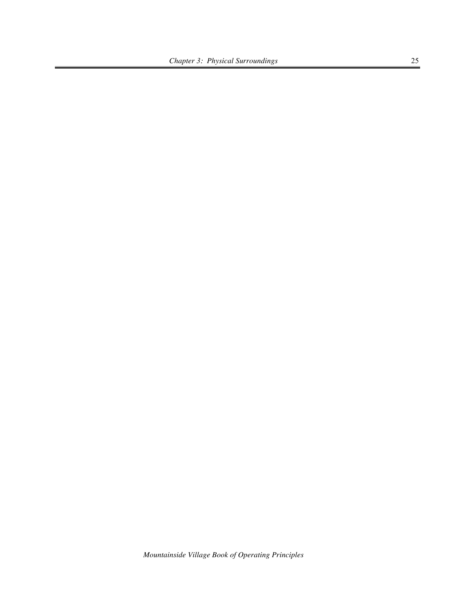*Chapter 3: Physical Surroundings* 25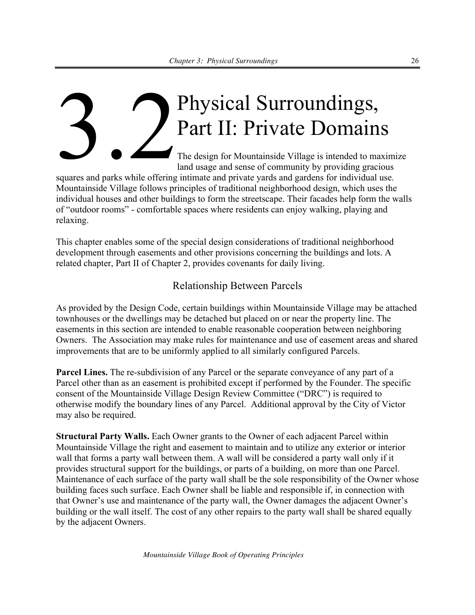## Physical Surroundings, Part II: Private Domains **3.2**

The design for Mountainside Village is intended to maximize land usage and sense of community by providing gracious

squares and parks while offering intimate and private yards and gardens for individual use. Mountainside Village follows principles of traditional neighborhood design, which uses the individual houses and other buildings to form the streetscape. Their facades help form the walls of "outdoor rooms" - comfortable spaces where residents can enjoy walking, playing and relaxing.

This chapter enables some of the special design considerations of traditional neighborhood development through easements and other provisions concerning the buildings and lots. A related chapter, Part II of Chapter 2, provides covenants for daily living.

## Relationship Between Parcels

As provided by the Design Code, certain buildings within Mountainside Village may be attached townhouses or the dwellings may be detached but placed on or near the property line. The easements in this section are intended to enable reasonable cooperation between neighboring Owners. The Association may make rules for maintenance and use of easement areas and shared improvements that are to be uniformly applied to all similarly configured Parcels.

**Parcel Lines.** The re-subdivision of any Parcel or the separate conveyance of any part of a Parcel other than as an easement is prohibited except if performed by the Founder. The specific consent of the Mountainside Village Design Review Committee ("DRC") is required to otherwise modify the boundary lines of any Parcel. Additional approval by the City of Victor may also be required.

**Structural Party Walls.** Each Owner grants to the Owner of each adjacent Parcel within Mountainside Village the right and easement to maintain and to utilize any exterior or interior wall that forms a party wall between them. A wall will be considered a party wall only if it provides structural support for the buildings, or parts of a building, on more than one Parcel. Maintenance of each surface of the party wall shall be the sole responsibility of the Owner whose building faces such surface. Each Owner shall be liable and responsible if, in connection with that Owner's use and maintenance of the party wall, the Owner damages the adjacent Owner's building or the wall itself. The cost of any other repairs to the party wall shall be shared equally by the adjacent Owners.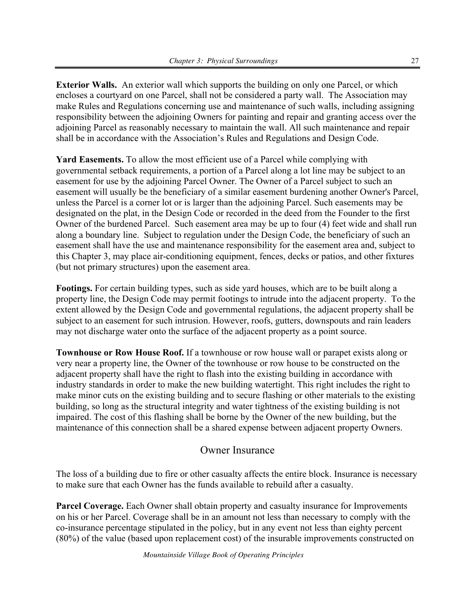**Exterior Walls.** An exterior wall which supports the building on only one Parcel, or which encloses a courtyard on one Parcel, shall not be considered a party wall. The Association may make Rules and Regulations concerning use and maintenance of such walls, including assigning responsibility between the adjoining Owners for painting and repair and granting access over the adjoining Parcel as reasonably necessary to maintain the wall. All such maintenance and repair shall be in accordance with the Association's Rules and Regulations and Design Code.

**Yard Easements.** To allow the most efficient use of a Parcel while complying with governmental setback requirements, a portion of a Parcel along a lot line may be subject to an easement for use by the adjoining Parcel Owner. The Owner of a Parcel subject to such an easement will usually be the beneficiary of a similar easement burdening another Owner's Parcel, unless the Parcel is a corner lot or is larger than the adjoining Parcel. Such easements may be designated on the plat, in the Design Code or recorded in the deed from the Founder to the first Owner of the burdened Parcel. Such easement area may be up to four (4) feet wide and shall run along a boundary line. Subject to regulation under the Design Code, the beneficiary of such an easement shall have the use and maintenance responsibility for the easement area and, subject to this Chapter 3, may place air-conditioning equipment, fences, decks or patios, and other fixtures (but not primary structures) upon the easement area.

**Footings.** For certain building types, such as side yard houses, which are to be built along a property line, the Design Code may permit footings to intrude into the adjacent property. To the extent allowed by the Design Code and governmental regulations, the adjacent property shall be subject to an easement for such intrusion. However, roofs, gutters, downspouts and rain leaders may not discharge water onto the surface of the adjacent property as a point source.

**Townhouse or Row House Roof.** If a townhouse or row house wall or parapet exists along or very near a property line, the Owner of the townhouse or row house to be constructed on the adjacent property shall have the right to flash into the existing building in accordance with industry standards in order to make the new building watertight. This right includes the right to make minor cuts on the existing building and to secure flashing or other materials to the existing building, so long as the structural integrity and water tightness of the existing building is not impaired. The cost of this flashing shall be borne by the Owner of the new building, but the maintenance of this connection shall be a shared expense between adjacent property Owners.

## Owner Insurance

The loss of a building due to fire or other casualty affects the entire block. Insurance is necessary to make sure that each Owner has the funds available to rebuild after a casualty.

**Parcel Coverage.** Each Owner shall obtain property and casualty insurance for Improvements on his or her Parcel. Coverage shall be in an amount not less than necessary to comply with the co-insurance percentage stipulated in the policy, but in any event not less than eighty percent (80%) of the value (based upon replacement cost) of the insurable improvements constructed on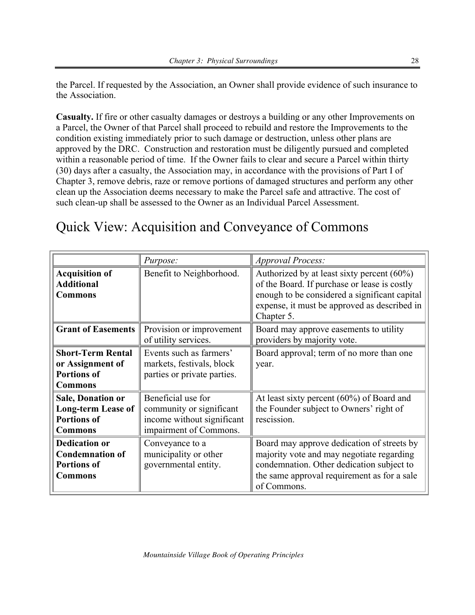the Parcel. If requested by the Association, an Owner shall provide evidence of such insurance to the Association.

**Casualty.** If fire or other casualty damages or destroys a building or any other Improvements on a Parcel, the Owner of that Parcel shall proceed to rebuild and restore the Improvements to the condition existing immediately prior to such damage or destruction, unless other plans are approved by the DRC. Construction and restoration must be diligently pursued and completed within a reasonable period of time. If the Owner fails to clear and secure a Parcel within thirty (30) days after a casualty, the Association may, in accordance with the provisions of Part I of Chapter 3, remove debris, raze or remove portions of damaged structures and perform any other clean up the Association deems necessary to make the Parcel safe and attractive. The cost of such clean-up shall be assessed to the Owner as an Individual Parcel Assessment.

## Quick View: Acquisition and Conveyance of Commons

|                                                                                                        | Purpose:                                                                                               | <b>Approval Process:</b>                                                                                                                                                                           |
|--------------------------------------------------------------------------------------------------------|--------------------------------------------------------------------------------------------------------|----------------------------------------------------------------------------------------------------------------------------------------------------------------------------------------------------|
| <b>Acquisition of</b><br>Benefit to Neighborhood.<br><b>Additional</b><br><b>Commons</b><br>Chapter 5. |                                                                                                        | Authorized by at least sixty percent $(60\%)$<br>of the Board. If purchase or lease is costly<br>enough to be considered a significant capital<br>expense, it must be approved as described in     |
| <b>Grant of Easements</b>                                                                              | Provision or improvement<br>of utility services.                                                       | Board may approve easements to utility<br>providers by majority vote.                                                                                                                              |
| <b>Short-Term Rental</b><br>or Assignment of<br><b>Portions of</b><br><b>Commons</b>                   | Events such as farmers'<br>markets, festivals, block<br>parties or private parties.                    | Board approval; term of no more than one<br>year.                                                                                                                                                  |
| <b>Sale, Donation or</b><br><b>Long-term Lease of</b><br><b>Portions of</b><br><b>Commons</b>          | Beneficial use for<br>community or significant<br>income without significant<br>impairment of Commons. | At least sixty percent $(60\%)$ of Board and<br>the Founder subject to Owners' right of<br>rescission.                                                                                             |
| <b>Dedication or</b><br><b>Condemnation of</b><br><b>Portions of</b><br><b>Commons</b>                 | Conveyance to a<br>municipality or other<br>governmental entity.                                       | Board may approve dedication of streets by<br>majority vote and may negotiate regarding<br>condemnation. Other dedication subject to<br>the same approval requirement as for a sale<br>of Commons. |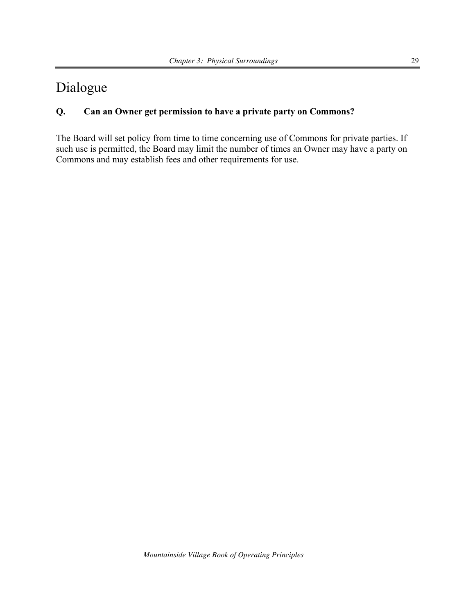## Dialogue

#### **Q. Can an Owner get permission to have a private party on Commons?**

The Board will set policy from time to time concerning use of Commons for private parties. If such use is permitted, the Board may limit the number of times an Owner may have a party on Commons and may establish fees and other requirements for use.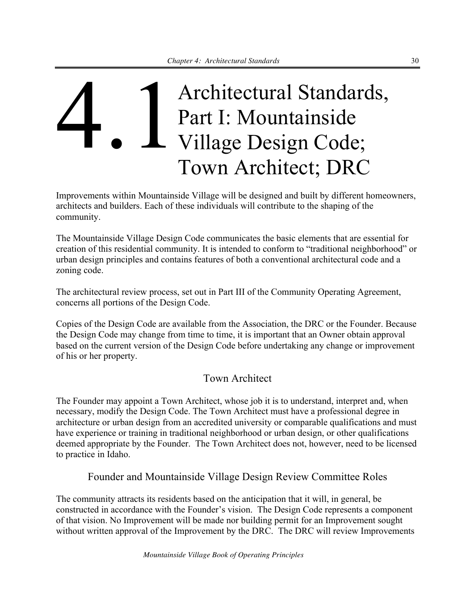## Architectural Standards, Part I: Mountainside Village Design Code; Town Architect; DRC 4.1

Improvements within Mountainside Village will be designed and built by different homeowners, architects and builders. Each of these individuals will contribute to the shaping of the community.

The Mountainside Village Design Code communicates the basic elements that are essential for creation of this residential community. It is intended to conform to "traditional neighborhood" or urban design principles and contains features of both a conventional architectural code and a zoning code.

The architectural review process, set out in Part III of the Community Operating Agreement, concerns all portions of the Design Code.

Copies of the Design Code are available from the Association, the DRC or the Founder. Because the Design Code may change from time to time, it is important that an Owner obtain approval based on the current version of the Design Code before undertaking any change or improvement of his or her property.

## Town Architect

The Founder may appoint a Town Architect, whose job it is to understand, interpret and, when necessary, modify the Design Code. The Town Architect must have a professional degree in architecture or urban design from an accredited university or comparable qualifications and must have experience or training in traditional neighborhood or urban design, or other qualifications deemed appropriate by the Founder. The Town Architect does not, however, need to be licensed to practice in Idaho.

Founder and Mountainside Village Design Review Committee Roles

The community attracts its residents based on the anticipation that it will, in general, be constructed in accordance with the Founder's vision. The Design Code represents a component of that vision. No Improvement will be made nor building permit for an Improvement sought without written approval of the Improvement by the DRC. The DRC will review Improvements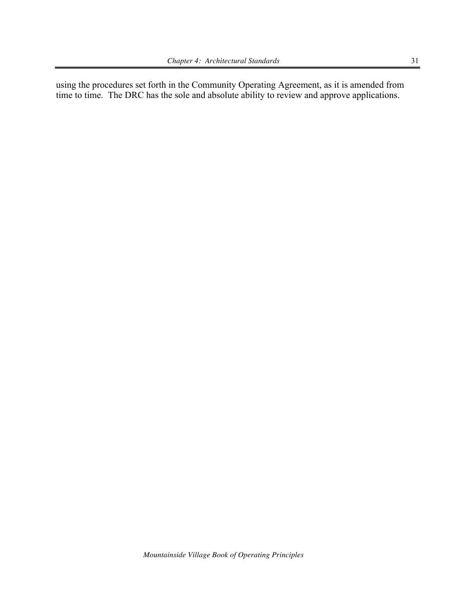using the procedures set forth in the Community Operating Agreement, as it is amended from time to time. The DRC has the sole and absolute ability to review and approve applications.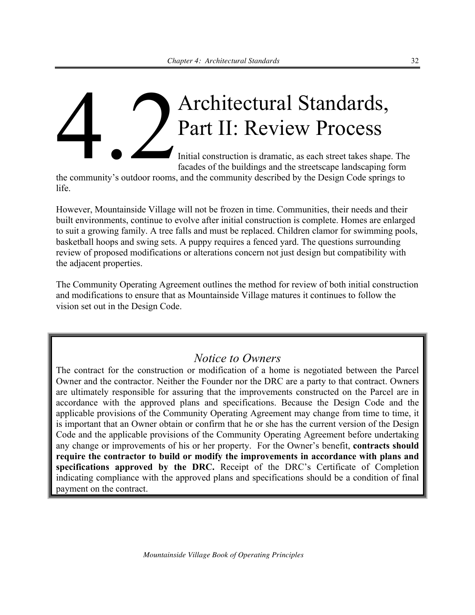## Architectural Standards, Part II: Review Process 1.2

Initial construction is dramatic, as each street takes shape. The facades of the buildings and the streetscape landscaping form

the community's outdoor rooms, and the community described by the Design Code springs to life.

However, Mountainside Village will not be frozen in time. Communities, their needs and their built environments, continue to evolve after initial construction is complete. Homes are enlarged to suit a growing family. A tree falls and must be replaced. Children clamor for swimming pools, basketball hoops and swing sets. A puppy requires a fenced yard. The questions surrounding review of proposed modifications or alterations concern not just design but compatibility with the adjacent properties.

The Community Operating Agreement outlines the method for review of both initial construction and modifications to ensure that as Mountainside Village matures it continues to follow the vision set out in the Design Code.

## *Notice to Owners*

The contract for the construction or modification of a home is negotiated between the Parcel Owner and the contractor. Neither the Founder nor the DRC are a party to that contract. Owners are ultimately responsible for assuring that the improvements constructed on the Parcel are in accordance with the approved plans and specifications. Because the Design Code and the applicable provisions of the Community Operating Agreement may change from time to time, it is important that an Owner obtain or confirm that he or she has the current version of the Design Code and the applicable provisions of the Community Operating Agreement before undertaking any change or improvements of his or her property. For the Owner's benefit, **contracts should require the contractor to build or modify the improvements in accordance with plans and specifications approved by the DRC.** Receipt of the DRC's Certificate of Completion indicating compliance with the approved plans and specifications should be a condition of final payment on the contract.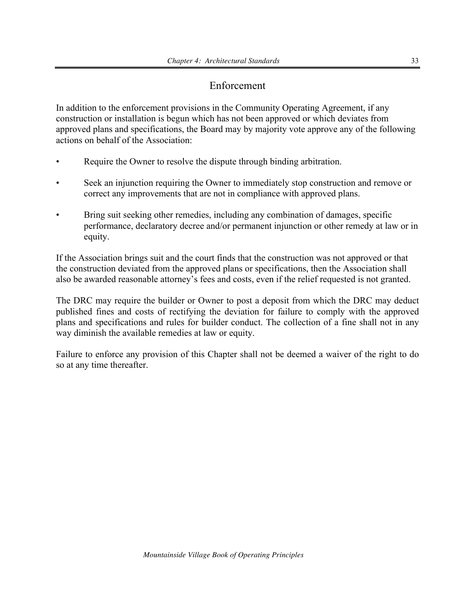## Enforcement

In addition to the enforcement provisions in the Community Operating Agreement, if any construction or installation is begun which has not been approved or which deviates from approved plans and specifications, the Board may by majority vote approve any of the following actions on behalf of the Association:

- Require the Owner to resolve the dispute through binding arbitration.
- Seek an injunction requiring the Owner to immediately stop construction and remove or correct any improvements that are not in compliance with approved plans.
- Bring suit seeking other remedies, including any combination of damages, specific performance, declaratory decree and/or permanent injunction or other remedy at law or in equity.

If the Association brings suit and the court finds that the construction was not approved or that the construction deviated from the approved plans or specifications, then the Association shall also be awarded reasonable attorney's fees and costs, even if the relief requested is not granted.

The DRC may require the builder or Owner to post a deposit from which the DRC may deduct published fines and costs of rectifying the deviation for failure to comply with the approved plans and specifications and rules for builder conduct. The collection of a fine shall not in any way diminish the available remedies at law or equity.

Failure to enforce any provision of this Chapter shall not be deemed a waiver of the right to do so at any time thereafter.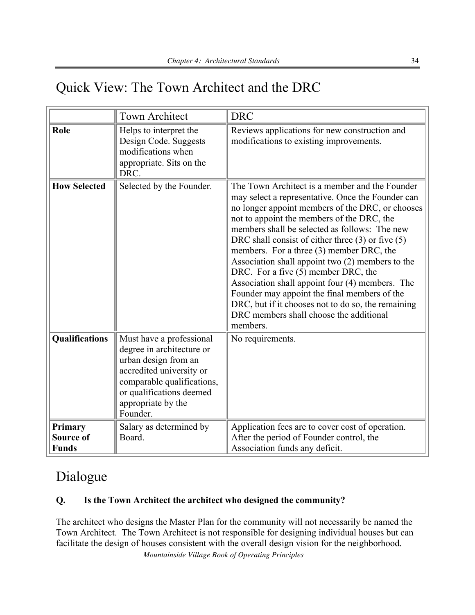## Quick View: The Town Architect and the DRC

|                                             | <b>Town Architect</b>                                                                                                                                                                                 | <b>DRC</b>                                                                                                                                                                                                                                                                                                                                                                                                                                                                                                                                                                                                                                                             |
|---------------------------------------------|-------------------------------------------------------------------------------------------------------------------------------------------------------------------------------------------------------|------------------------------------------------------------------------------------------------------------------------------------------------------------------------------------------------------------------------------------------------------------------------------------------------------------------------------------------------------------------------------------------------------------------------------------------------------------------------------------------------------------------------------------------------------------------------------------------------------------------------------------------------------------------------|
| Role                                        | Helps to interpret the<br>Design Code. Suggests<br>modifications when<br>appropriate. Sits on the<br>DRC.                                                                                             | Reviews applications for new construction and<br>modifications to existing improvements.                                                                                                                                                                                                                                                                                                                                                                                                                                                                                                                                                                               |
| <b>How Selected</b>                         | Selected by the Founder.                                                                                                                                                                              | The Town Architect is a member and the Founder<br>may select a representative. Once the Founder can<br>no longer appoint members of the DRC, or chooses<br>not to appoint the members of the DRC, the<br>members shall be selected as follows: The new<br>DRC shall consist of either three $(3)$ or five $(5)$<br>members. For a three (3) member DRC, the<br>Association shall appoint two (2) members to the<br>DRC. For a five (5) member DRC, the<br>Association shall appoint four (4) members. The<br>Founder may appoint the final members of the<br>DRC, but if it chooses not to do so, the remaining<br>DRC members shall choose the additional<br>members. |
| <b>Qualifications</b>                       | Must have a professional<br>degree in architecture or<br>urban design from an<br>accredited university or<br>comparable qualifications,<br>or qualifications deemed<br>appropriate by the<br>Founder. | No requirements.                                                                                                                                                                                                                                                                                                                                                                                                                                                                                                                                                                                                                                                       |
| Primary<br><b>Source of</b><br><b>Funds</b> | Salary as determined by<br>Board.                                                                                                                                                                     | Application fees are to cover cost of operation.<br>After the period of Founder control, the<br>Association funds any deficit.                                                                                                                                                                                                                                                                                                                                                                                                                                                                                                                                         |

## Dialogue

## **Q. Is the Town Architect the architect who designed the community?**

The architect who designs the Master Plan for the community will not necessarily be named the Town Architect. The Town Architect is not responsible for designing individual houses but can facilitate the design of houses consistent with the overall design vision for the neighborhood.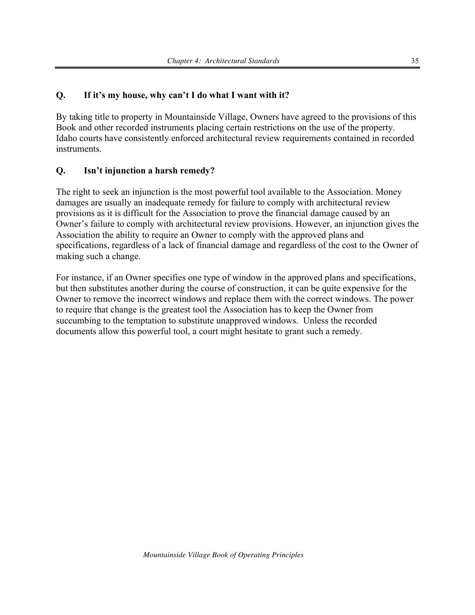#### **Q. If it's my house, why can't I do what I want with it?**

By taking title to property in Mountainside Village, Owners have agreed to the provisions of this Book and other recorded instruments placing certain restrictions on the use of the property. Idaho courts have consistently enforced architectural review requirements contained in recorded instruments.

#### **Q. Isn't injunction a harsh remedy?**

The right to seek an injunction is the most powerful tool available to the Association. Money damages are usually an inadequate remedy for failure to comply with architectural review provisions as it is difficult for the Association to prove the financial damage caused by an Owner's failure to comply with architectural review provisions. However, an injunction gives the Association the ability to require an Owner to comply with the approved plans and specifications, regardless of a lack of financial damage and regardless of the cost to the Owner of making such a change.

For instance, if an Owner specifies one type of window in the approved plans and specifications, but then substitutes another during the course of construction, it can be quite expensive for the Owner to remove the incorrect windows and replace them with the correct windows. The power to require that change is the greatest tool the Association has to keep the Owner from succumbing to the temptation to substitute unapproved windows. Unless the recorded documents allow this powerful tool, a court might hesitate to grant such a remedy.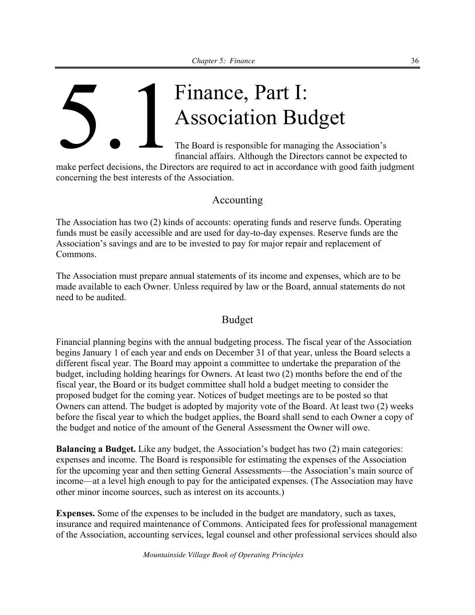## Finance, Part I: Association Budget **5.1**

The Board is responsible for managing the Association's financial affairs. Although the Directors cannot be expected to

make perfect decisions, the Directors are required to act in accordance with good faith judgment concerning the best interests of the Association.

#### Accounting

The Association has two (2) kinds of accounts: operating funds and reserve funds. Operating funds must be easily accessible and are used for day-to-day expenses. Reserve funds are the Association's savings and are to be invested to pay for major repair and replacement of Commons.

The Association must prepare annual statements of its income and expenses, which are to be made available to each Owner. Unless required by law or the Board, annual statements do not need to be audited.

## Budget

Financial planning begins with the annual budgeting process. The fiscal year of the Association begins January 1 of each year and ends on December 31 of that year, unless the Board selects a different fiscal year. The Board may appoint a committee to undertake the preparation of the budget, including holding hearings for Owners. At least two (2) months before the end of the fiscal year, the Board or its budget committee shall hold a budget meeting to consider the proposed budget for the coming year. Notices of budget meetings are to be posted so that Owners can attend. The budget is adopted by majority vote of the Board. At least two (2) weeks before the fiscal year to which the budget applies, the Board shall send to each Owner a copy of the budget and notice of the amount of the General Assessment the Owner will owe.

**Balancing a Budget.** Like any budget, the Association's budget has two (2) main categories: expenses and income. The Board is responsible for estimating the expenses of the Association for the upcoming year and then setting General Assessments—the Association's main source of income—at a level high enough to pay for the anticipated expenses. (The Association may have other minor income sources, such as interest on its accounts.)

**Expenses.** Some of the expenses to be included in the budget are mandatory, such as taxes, insurance and required maintenance of Commons. Anticipated fees for professional management of the Association, accounting services, legal counsel and other professional services should also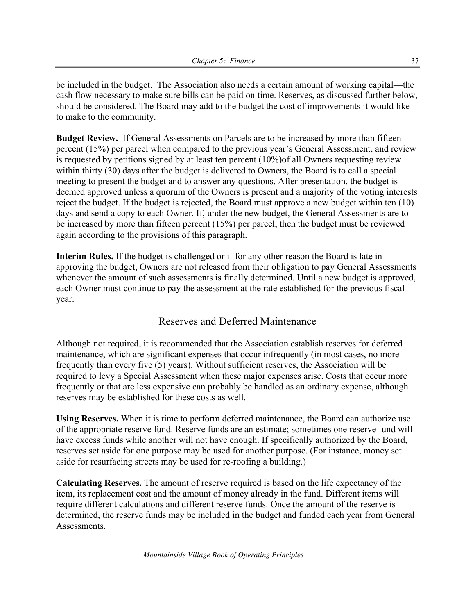be included in the budget. The Association also needs a certain amount of working capital—the cash flow necessary to make sure bills can be paid on time. Reserves, as discussed further below, should be considered. The Board may add to the budget the cost of improvements it would like to make to the community.

**Budget Review.** If General Assessments on Parcels are to be increased by more than fifteen percent (15%) per parcel when compared to the previous year's General Assessment, and review is requested by petitions signed by at least ten percent (10%)of all Owners requesting review within thirty (30) days after the budget is delivered to Owners, the Board is to call a special meeting to present the budget and to answer any questions. After presentation, the budget is deemed approved unless a quorum of the Owners is present and a majority of the voting interests reject the budget. If the budget is rejected, the Board must approve a new budget within ten (10) days and send a copy to each Owner. If, under the new budget, the General Assessments are to be increased by more than fifteen percent (15%) per parcel, then the budget must be reviewed again according to the provisions of this paragraph.

**Interim Rules.** If the budget is challenged or if for any other reason the Board is late in approving the budget, Owners are not released from their obligation to pay General Assessments whenever the amount of such assessments is finally determined. Until a new budget is approved, each Owner must continue to pay the assessment at the rate established for the previous fiscal year.

## Reserves and Deferred Maintenance

Although not required, it is recommended that the Association establish reserves for deferred maintenance, which are significant expenses that occur infrequently (in most cases, no more frequently than every five (5) years). Without sufficient reserves, the Association will be required to levy a Special Assessment when these major expenses arise. Costs that occur more frequently or that are less expensive can probably be handled as an ordinary expense, although reserves may be established for these costs as well.

**Using Reserves.** When it is time to perform deferred maintenance, the Board can authorize use of the appropriate reserve fund. Reserve funds are an estimate; sometimes one reserve fund will have excess funds while another will not have enough. If specifically authorized by the Board, reserves set aside for one purpose may be used for another purpose. (For instance, money set aside for resurfacing streets may be used for re-roofing a building.)

**Calculating Reserves.** The amount of reserve required is based on the life expectancy of the item, its replacement cost and the amount of money already in the fund. Different items will require different calculations and different reserve funds. Once the amount of the reserve is determined, the reserve funds may be included in the budget and funded each year from General **Assessments**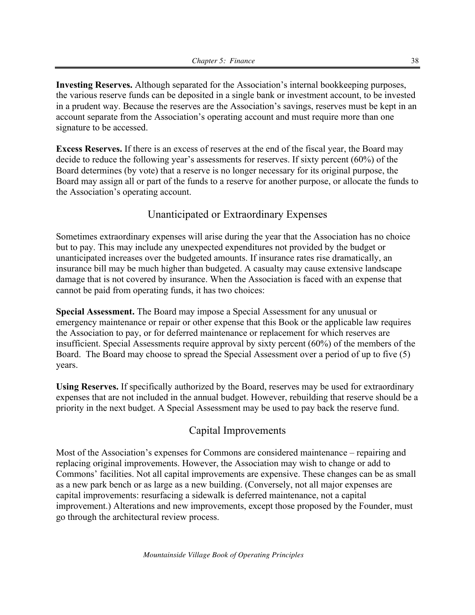**Investing Reserves.** Although separated for the Association's internal bookkeeping purposes, the various reserve funds can be deposited in a single bank or investment account, to be invested in a prudent way. Because the reserves are the Association's savings, reserves must be kept in an account separate from the Association's operating account and must require more than one signature to be accessed.

**Excess Reserves.** If there is an excess of reserves at the end of the fiscal year, the Board may decide to reduce the following year's assessments for reserves. If sixty percent (60%) of the Board determines (by vote) that a reserve is no longer necessary for its original purpose, the Board may assign all or part of the funds to a reserve for another purpose, or allocate the funds to the Association's operating account.

## Unanticipated or Extraordinary Expenses

Sometimes extraordinary expenses will arise during the year that the Association has no choice but to pay. This may include any unexpected expenditures not provided by the budget or unanticipated increases over the budgeted amounts. If insurance rates rise dramatically, an insurance bill may be much higher than budgeted. A casualty may cause extensive landscape damage that is not covered by insurance. When the Association is faced with an expense that cannot be paid from operating funds, it has two choices:

**Special Assessment.** The Board may impose a Special Assessment for any unusual or emergency maintenance or repair or other expense that this Book or the applicable law requires the Association to pay, or for deferred maintenance or replacement for which reserves are insufficient. Special Assessments require approval by sixty percent (60%) of the members of the Board. The Board may choose to spread the Special Assessment over a period of up to five (5) years.

**Using Reserves.** If specifically authorized by the Board, reserves may be used for extraordinary expenses that are not included in the annual budget. However, rebuilding that reserve should be a priority in the next budget. A Special Assessment may be used to pay back the reserve fund.

## Capital Improvements

Most of the Association's expenses for Commons are considered maintenance – repairing and replacing original improvements. However, the Association may wish to change or add to Commons' facilities. Not all capital improvements are expensive. These changes can be as small as a new park bench or as large as a new building. (Conversely, not all major expenses are capital improvements: resurfacing a sidewalk is deferred maintenance, not a capital improvement.) Alterations and new improvements, except those proposed by the Founder, must go through the architectural review process.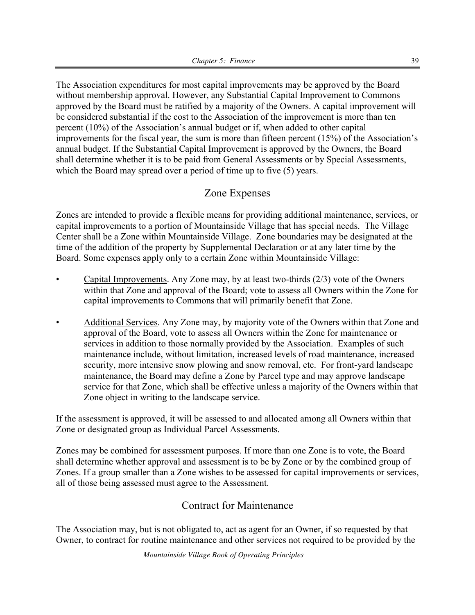The Association expenditures for most capital improvements may be approved by the Board without membership approval. However, any Substantial Capital Improvement to Commons approved by the Board must be ratified by a majority of the Owners. A capital improvement will be considered substantial if the cost to the Association of the improvement is more than ten percent (10%) of the Association's annual budget or if, when added to other capital improvements for the fiscal year, the sum is more than fifteen percent (15%) of the Association's annual budget. If the Substantial Capital Improvement is approved by the Owners, the Board shall determine whether it is to be paid from General Assessments or by Special Assessments, which the Board may spread over a period of time up to five (5) years.

## Zone Expenses

Zones are intended to provide a flexible means for providing additional maintenance, services, or capital improvements to a portion of Mountainside Village that has special needs. The Village Center shall be a Zone within Mountainside Village. Zone boundaries may be designated at the time of the addition of the property by Supplemental Declaration or at any later time by the Board. Some expenses apply only to a certain Zone within Mountainside Village:

- Capital Improvements. Any Zone may, by at least two-thirds  $(2/3)$  vote of the Owners within that Zone and approval of the Board; vote to assess all Owners within the Zone for capital improvements to Commons that will primarily benefit that Zone.
- Additional Services. Any Zone may, by majority vote of the Owners within that Zone and approval of the Board, vote to assess all Owners within the Zone for maintenance or services in addition to those normally provided by the Association. Examples of such maintenance include, without limitation, increased levels of road maintenance, increased security, more intensive snow plowing and snow removal, etc. For front-yard landscape maintenance, the Board may define a Zone by Parcel type and may approve landscape service for that Zone, which shall be effective unless a majority of the Owners within that Zone object in writing to the landscape service.

If the assessment is approved, it will be assessed to and allocated among all Owners within that Zone or designated group as Individual Parcel Assessments.

Zones may be combined for assessment purposes. If more than one Zone is to vote, the Board shall determine whether approval and assessment is to be by Zone or by the combined group of Zones. If a group smaller than a Zone wishes to be assessed for capital improvements or services, all of those being assessed must agree to the Assessment.

## Contract for Maintenance

The Association may, but is not obligated to, act as agent for an Owner, if so requested by that Owner, to contract for routine maintenance and other services not required to be provided by the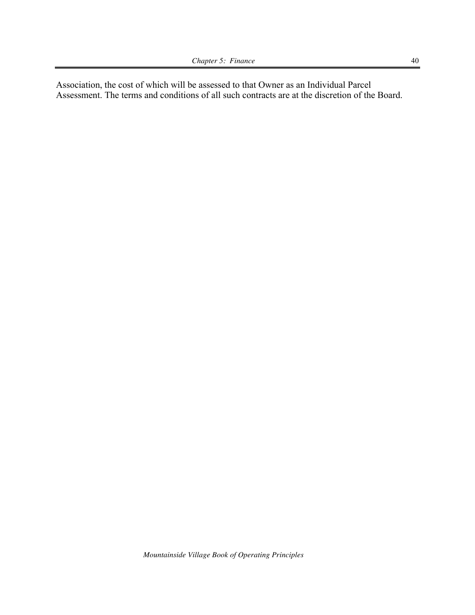Association, the cost of which will be assessed to that Owner as an Individual Parcel Assessment. The terms and conditions of all such contracts are at the discretion of the Board.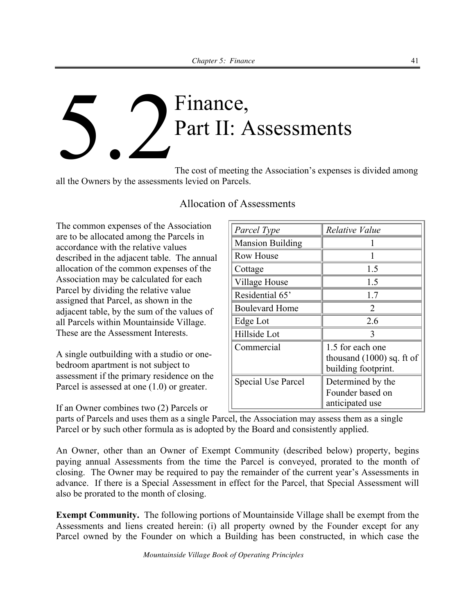## Finance, Part II: Assessments 5.2

The cost of meeting the Association's expenses is divided among all the Owners by the assessments levied on Parcels.

#### Allocation of Assessments

The common expenses of the Association are to be allocated among the Parcels in accordance with the relative values described in the adjacent table. The annual allocation of the common expenses of the Association may be calculated for each Parcel by dividing the relative value assigned that Parcel, as shown in the adjacent table, by the sum of the values of all Parcels within Mountainside Village. These are the Assessment Interests.

A single outbuilding with a studio or onebedroom apartment is not subject to assessment if the primary residence on the Parcel is assessed at one (1.0) or greater.

If an Owner combines two (2) Parcels or

| Parcel Type               | Relative Value                                                         |  |
|---------------------------|------------------------------------------------------------------------|--|
| <b>Mansion Building</b>   |                                                                        |  |
| Row House                 |                                                                        |  |
| Cottage                   | 1.5                                                                    |  |
| Village House             | 1.5                                                                    |  |
| Residential 65'           | 1.7                                                                    |  |
| <b>Boulevard Home</b>     | $\mathfrak{D}$                                                         |  |
| Edge Lot                  | 2.6                                                                    |  |
| Hillside Lot              | 3                                                                      |  |
| Commercial                | 1.5 for each one<br>thousand $(1000)$ sq. ft of<br>building footprint. |  |
| <b>Special Use Parcel</b> | Determined by the<br>Founder based on<br>anticipated use               |  |

parts of Parcels and uses them as a single Parcel, the Association may assess them as a single Parcel or by such other formula as is adopted by the Board and consistently applied.

An Owner, other than an Owner of Exempt Community (described below) property, begins paying annual Assessments from the time the Parcel is conveyed, prorated to the month of closing. The Owner may be required to pay the remainder of the current year's Assessments in advance. If there is a Special Assessment in effect for the Parcel, that Special Assessment will also be prorated to the month of closing.

**Exempt Community.** The following portions of Mountainside Village shall be exempt from the Assessments and liens created herein: (i) all property owned by the Founder except for any Parcel owned by the Founder on which a Building has been constructed, in which case the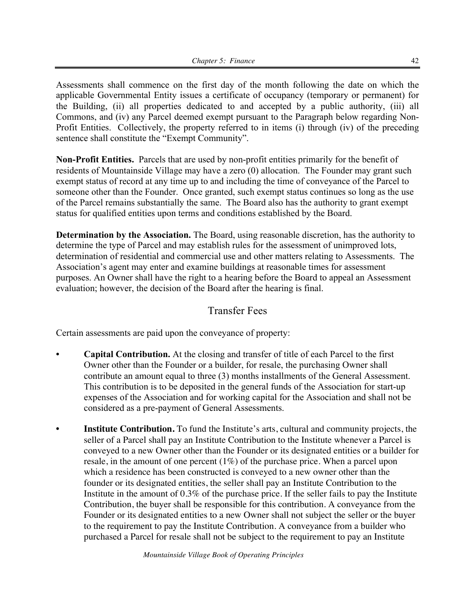Assessments shall commence on the first day of the month following the date on which the applicable Governmental Entity issues a certificate of occupancy (temporary or permanent) for the Building, (ii) all properties dedicated to and accepted by a public authority, (iii) all Commons, and (iv) any Parcel deemed exempt pursuant to the Paragraph below regarding Non-Profit Entities. Collectively, the property referred to in items (i) through (iv) of the preceding sentence shall constitute the "Exempt Community".

**Non-Profit Entities.** Parcels that are used by non-profit entities primarily for the benefit of residents of Mountainside Village may have a zero (0) allocation. The Founder may grant such exempt status of record at any time up to and including the time of conveyance of the Parcel to someone other than the Founder. Once granted, such exempt status continues so long as the use of the Parcel remains substantially the same. The Board also has the authority to grant exempt status for qualified entities upon terms and conditions established by the Board.

**Determination by the Association.** The Board, using reasonable discretion, has the authority to determine the type of Parcel and may establish rules for the assessment of unimproved lots, determination of residential and commercial use and other matters relating to Assessments. The Association's agent may enter and examine buildings at reasonable times for assessment purposes. An Owner shall have the right to a hearing before the Board to appeal an Assessment evaluation; however, the decision of the Board after the hearing is final.

## Transfer Fees

Certain assessments are paid upon the conveyance of property:

- **• Capital Contribution.** At the closing and transfer of title of each Parcel to the first Owner other than the Founder or a builder, for resale, the purchasing Owner shall contribute an amount equal to three (3) months installments of the General Assessment. This contribution is to be deposited in the general funds of the Association for start-up expenses of the Association and for working capital for the Association and shall not be considered as a pre-payment of General Assessments.
- **• Institute Contribution.** To fund the Institute's arts, cultural and community projects, the seller of a Parcel shall pay an Institute Contribution to the Institute whenever a Parcel is conveyed to a new Owner other than the Founder or its designated entities or a builder for resale, in the amount of one percent (1%) of the purchase price. When a parcel upon which a residence has been constructed is conveyed to a new owner other than the founder or its designated entities, the seller shall pay an Institute Contribution to the Institute in the amount of 0.3% of the purchase price. If the seller fails to pay the Institute Contribution, the buyer shall be responsible for this contribution. A conveyance from the Founder or its designated entities to a new Owner shall not subject the seller or the buyer to the requirement to pay the Institute Contribution. A conveyance from a builder who purchased a Parcel for resale shall not be subject to the requirement to pay an Institute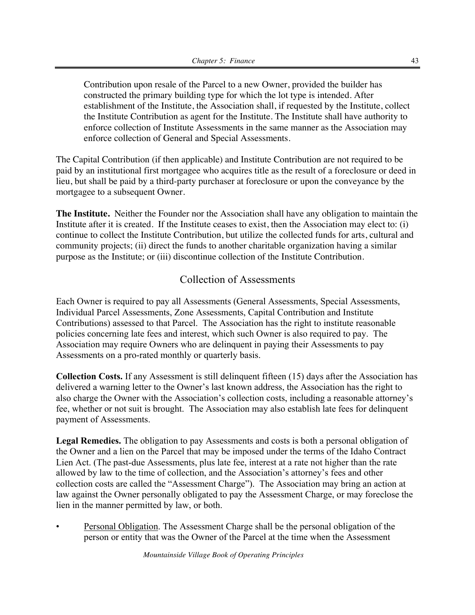Contribution upon resale of the Parcel to a new Owner, provided the builder has constructed the primary building type for which the lot type is intended. After establishment of the Institute, the Association shall, if requested by the Institute, collect the Institute Contribution as agent for the Institute. The Institute shall have authority to enforce collection of Institute Assessments in the same manner as the Association may enforce collection of General and Special Assessments.

The Capital Contribution (if then applicable) and Institute Contribution are not required to be paid by an institutional first mortgagee who acquires title as the result of a foreclosure or deed in lieu, but shall be paid by a third-party purchaser at foreclosure or upon the conveyance by the mortgagee to a subsequent Owner.

**The Institute.** Neither the Founder nor the Association shall have any obligation to maintain the Institute after it is created. If the Institute ceases to exist, then the Association may elect to: (i) continue to collect the Institute Contribution, but utilize the collected funds for arts, cultural and community projects; (ii) direct the funds to another charitable organization having a similar purpose as the Institute; or (iii) discontinue collection of the Institute Contribution.

## Collection of Assessments

Each Owner is required to pay all Assessments (General Assessments, Special Assessments, Individual Parcel Assessments, Zone Assessments, Capital Contribution and Institute Contributions) assessed to that Parcel. The Association has the right to institute reasonable policies concerning late fees and interest, which such Owner is also required to pay. The Association may require Owners who are delinquent in paying their Assessments to pay Assessments on a pro-rated monthly or quarterly basis.

**Collection Costs.** If any Assessment is still delinquent fifteen (15) days after the Association has delivered a warning letter to the Owner's last known address, the Association has the right to also charge the Owner with the Association's collection costs, including a reasonable attorney's fee, whether or not suit is brought. The Association may also establish late fees for delinquent payment of Assessments.

**Legal Remedies.** The obligation to pay Assessments and costs is both a personal obligation of the Owner and a lien on the Parcel that may be imposed under the terms of the Idaho Contract Lien Act. (The past-due Assessments, plus late fee, interest at a rate not higher than the rate allowed by law to the time of collection, and the Association's attorney's fees and other collection costs are called the "Assessment Charge"). The Association may bring an action at law against the Owner personally obligated to pay the Assessment Charge, or may foreclose the lien in the manner permitted by law, or both.

• Personal Obligation. The Assessment Charge shall be the personal obligation of the person or entity that was the Owner of the Parcel at the time when the Assessment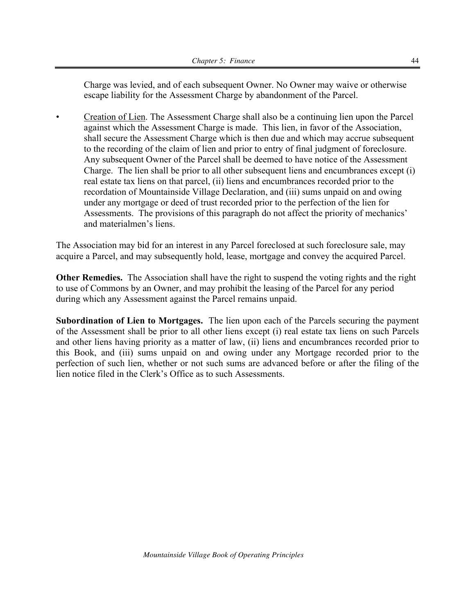Charge was levied, and of each subsequent Owner. No Owner may waive or otherwise escape liability for the Assessment Charge by abandonment of the Parcel.

• Creation of Lien. The Assessment Charge shall also be a continuing lien upon the Parcel against which the Assessment Charge is made. This lien, in favor of the Association, shall secure the Assessment Charge which is then due and which may accrue subsequent to the recording of the claim of lien and prior to entry of final judgment of foreclosure. Any subsequent Owner of the Parcel shall be deemed to have notice of the Assessment Charge. The lien shall be prior to all other subsequent liens and encumbrances except (i) real estate tax liens on that parcel, (ii) liens and encumbrances recorded prior to the recordation of Mountainside Village Declaration, and (iii) sums unpaid on and owing under any mortgage or deed of trust recorded prior to the perfection of the lien for Assessments. The provisions of this paragraph do not affect the priority of mechanics' and materialmen's liens.

The Association may bid for an interest in any Parcel foreclosed at such foreclosure sale, may acquire a Parcel, and may subsequently hold, lease, mortgage and convey the acquired Parcel.

**Other Remedies.** The Association shall have the right to suspend the voting rights and the right to use of Commons by an Owner, and may prohibit the leasing of the Parcel for any period during which any Assessment against the Parcel remains unpaid.

**Subordination of Lien to Mortgages.** The lien upon each of the Parcels securing the payment of the Assessment shall be prior to all other liens except (i) real estate tax liens on such Parcels and other liens having priority as a matter of law, (ii) liens and encumbrances recorded prior to this Book, and (iii) sums unpaid on and owing under any Mortgage recorded prior to the perfection of such lien, whether or not such sums are advanced before or after the filing of the lien notice filed in the Clerk's Office as to such Assessments.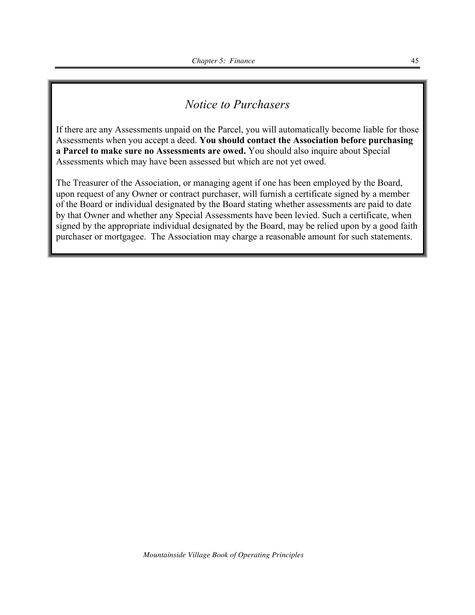## *Notice to Purchasers*

If there are any Assessments unpaid on the Parcel, you will automatically become liable for those Assessments when you accept a deed. **You should contact the Association before purchasing a Parcel to make sure no Assessments are owed.** You should also inquire about Special Assessments which may have been assessed but which are not yet owed.

The Treasurer of the Association, or managing agent if one has been employed by the Board, upon request of any Owner or contract purchaser, will furnish a certificate signed by a member of the Board or individual designated by the Board stating whether assessments are paid to date by that Owner and whether any Special Assessments have been levied. Such a certificate, when signed by the appropriate individual designated by the Board, may be relied upon by a good faith purchaser or mortgagee. The Association may charge a reasonable amount for such statements.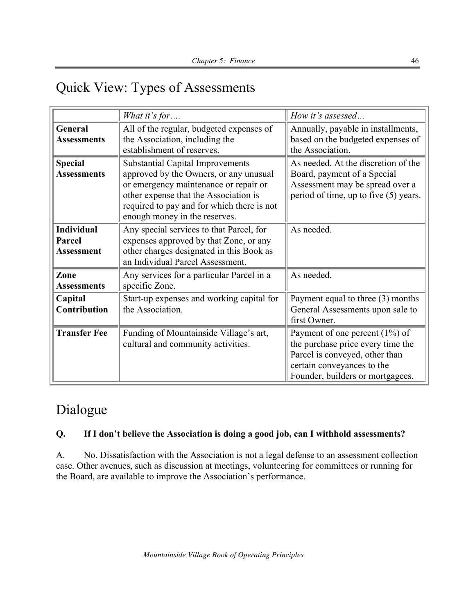## Quick View: Types of Assessments

|                                                                                                                                                                                                                                                                                            | What it's for                                                                                                                                                      | How it's assessed                                                                                                                                                          |
|--------------------------------------------------------------------------------------------------------------------------------------------------------------------------------------------------------------------------------------------------------------------------------------------|--------------------------------------------------------------------------------------------------------------------------------------------------------------------|----------------------------------------------------------------------------------------------------------------------------------------------------------------------------|
| General<br><b>Assessments</b>                                                                                                                                                                                                                                                              | All of the regular, budgeted expenses of<br>the Association, including the<br>establishment of reserves.                                                           | Annually, payable in installments,<br>based on the budgeted expenses of<br>the Association.                                                                                |
| <b>Special</b><br><b>Substantial Capital Improvements</b><br><b>Assessments</b><br>approved by the Owners, or any unusual<br>or emergency maintenance or repair or<br>other expense that the Association is<br>required to pay and for which there is not<br>enough money in the reserves. |                                                                                                                                                                    | As needed. At the discretion of the<br>Board, payment of a Special<br>Assessment may be spread over a<br>period of time, up to five (5) years.                             |
| <b>Individual</b><br>Parcel<br><b>Assessment</b>                                                                                                                                                                                                                                           | Any special services to that Parcel, for<br>expenses approved by that Zone, or any<br>other charges designated in this Book as<br>an Individual Parcel Assessment. | As needed.                                                                                                                                                                 |
| Zone<br><b>Assessments</b>                                                                                                                                                                                                                                                                 | Any services for a particular Parcel in a<br>specific Zone.                                                                                                        | As needed.                                                                                                                                                                 |
| Capital<br>Contribution                                                                                                                                                                                                                                                                    | Start-up expenses and working capital for<br>the Association.                                                                                                      | Payment equal to three (3) months<br>General Assessments upon sale to<br>first Owner.                                                                                      |
| <b>Transfer Fee</b>                                                                                                                                                                                                                                                                        | Funding of Mountainside Village's art,<br>cultural and community activities.                                                                                       | Payment of one percent $(1\%)$ of<br>the purchase price every time the<br>Parcel is conveyed, other than<br>certain conveyances to the<br>Founder, builders or mortgagees. |

## Dialogue

## **Q. If I don't believe the Association is doing a good job, can I withhold assessments?**

A. No. Dissatisfaction with the Association is not a legal defense to an assessment collection case. Other avenues, such as discussion at meetings, volunteering for committees or running for the Board, are available to improve the Association's performance.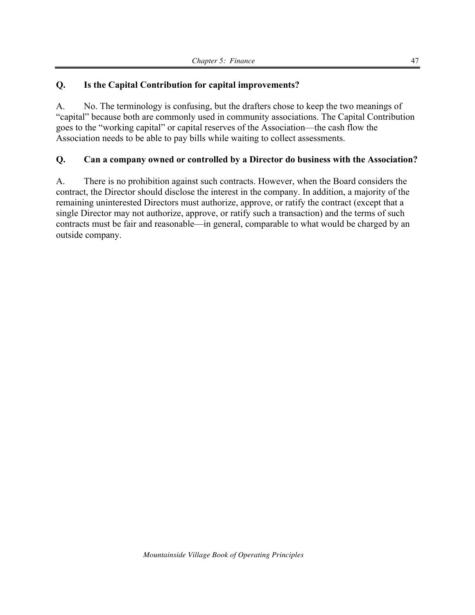### **Q. Is the Capital Contribution for capital improvements?**

A. No. The terminology is confusing, but the drafters chose to keep the two meanings of "capital" because both are commonly used in community associations. The Capital Contribution goes to the "working capital" or capital reserves of the Association—the cash flow the Association needs to be able to pay bills while waiting to collect assessments.

#### **Q. Can a company owned or controlled by a Director do business with the Association?**

A. There is no prohibition against such contracts. However, when the Board considers the contract, the Director should disclose the interest in the company. In addition, a majority of the remaining uninterested Directors must authorize, approve, or ratify the contract (except that a single Director may not authorize, approve, or ratify such a transaction) and the terms of such contracts must be fair and reasonable—in general, comparable to what would be charged by an outside company.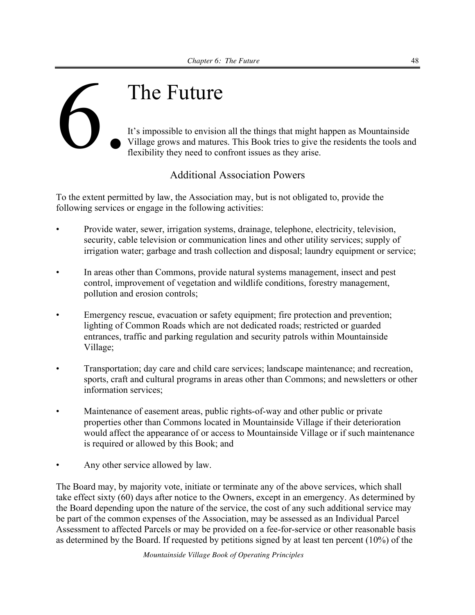# The Future 6.

It's impossible to envision all the things that might happen as Mountainside Village grows and matures. This Book tries to give the residents the tools and flexibility they need to confront issues as they arise.

## Additional Association Powers

To the extent permitted by law, the Association may, but is not obligated to, provide the following services or engage in the following activities:

- Provide water, sewer, irrigation systems, drainage, telephone, electricity, television, security, cable television or communication lines and other utility services; supply of irrigation water; garbage and trash collection and disposal; laundry equipment or service;
- In areas other than Commons, provide natural systems management, insect and pest control, improvement of vegetation and wildlife conditions, forestry management, pollution and erosion controls;
- Emergency rescue, evacuation or safety equipment; fire protection and prevention; lighting of Common Roads which are not dedicated roads; restricted or guarded entrances, traffic and parking regulation and security patrols within Mountainside Village;
- Transportation; day care and child care services; landscape maintenance; and recreation, sports, craft and cultural programs in areas other than Commons; and newsletters or other information services;
- Maintenance of easement areas, public rights-of-way and other public or private properties other than Commons located in Mountainside Village if their deterioration would affect the appearance of or access to Mountainside Village or if such maintenance is required or allowed by this Book; and
- Any other service allowed by law.

The Board may, by majority vote, initiate or terminate any of the above services, which shall take effect sixty (60) days after notice to the Owners, except in an emergency. As determined by the Board depending upon the nature of the service, the cost of any such additional service may be part of the common expenses of the Association, may be assessed as an Individual Parcel Assessment to affected Parcels or may be provided on a fee-for-service or other reasonable basis as determined by the Board. If requested by petitions signed by at least ten percent (10%) of the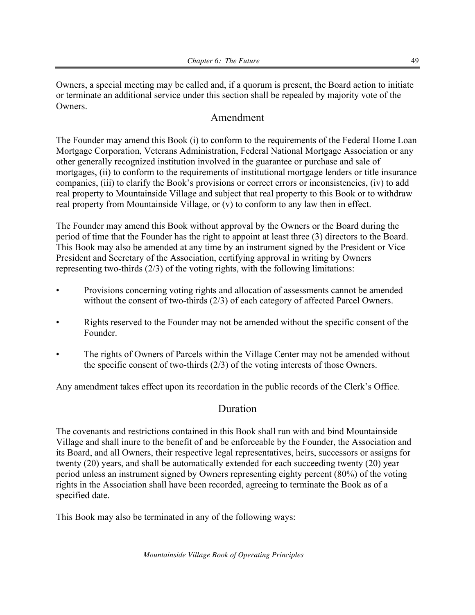Owners, a special meeting may be called and, if a quorum is present, the Board action to initiate or terminate an additional service under this section shall be repealed by majority vote of the Owners.

## Amendment

The Founder may amend this Book (i) to conform to the requirements of the Federal Home Loan Mortgage Corporation, Veterans Administration, Federal National Mortgage Association or any other generally recognized institution involved in the guarantee or purchase and sale of mortgages, (ii) to conform to the requirements of institutional mortgage lenders or title insurance companies, (iii) to clarify the Book's provisions or correct errors or inconsistencies, (iv) to add real property to Mountainside Village and subject that real property to this Book or to withdraw real property from Mountainside Village, or (v) to conform to any law then in effect.

The Founder may amend this Book without approval by the Owners or the Board during the period of time that the Founder has the right to appoint at least three (3) directors to the Board. This Book may also be amended at any time by an instrument signed by the President or Vice President and Secretary of the Association, certifying approval in writing by Owners representing two-thirds (2/3) of the voting rights, with the following limitations:

- Provisions concerning voting rights and allocation of assessments cannot be amended without the consent of two-thirds (2/3) of each category of affected Parcel Owners.
- Rights reserved to the Founder may not be amended without the specific consent of the Founder.
- The rights of Owners of Parcels within the Village Center may not be amended without the specific consent of two-thirds (2/3) of the voting interests of those Owners.

Any amendment takes effect upon its recordation in the public records of the Clerk's Office.

## Duration

The covenants and restrictions contained in this Book shall run with and bind Mountainside Village and shall inure to the benefit of and be enforceable by the Founder, the Association and its Board, and all Owners, their respective legal representatives, heirs, successors or assigns for twenty (20) years, and shall be automatically extended for each succeeding twenty (20) year period unless an instrument signed by Owners representing eighty percent (80%) of the voting rights in the Association shall have been recorded, agreeing to terminate the Book as of a specified date.

This Book may also be terminated in any of the following ways: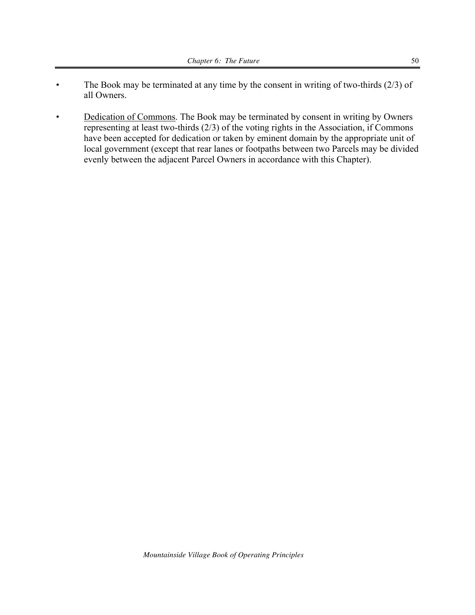- The Book may be terminated at any time by the consent in writing of two-thirds (2/3) of all Owners.
- Dedication of Commons. The Book may be terminated by consent in writing by Owners representing at least two-thirds (2/3) of the voting rights in the Association, if Commons have been accepted for dedication or taken by eminent domain by the appropriate unit of local government (except that rear lanes or footpaths between two Parcels may be divided evenly between the adjacent Parcel Owners in accordance with this Chapter).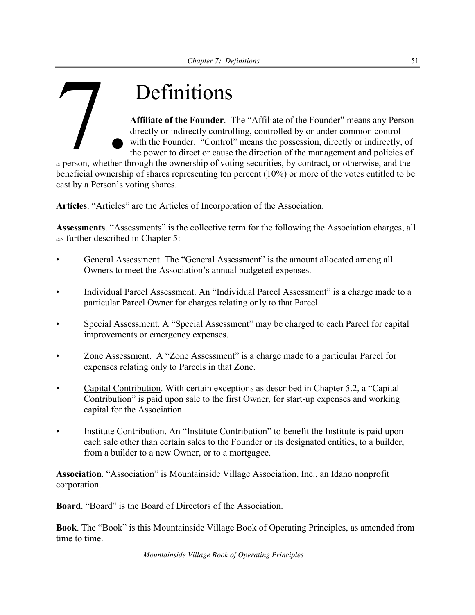## Definitions

**Affiliate of the Founder**. The "Affiliate of the Founder" means any Person directly or indirectly controlling, controlled by or under common control with the Founder. "Control" means the possession, directly or indirectly, of the power to direct or cause the direction of the management and policies of

a person, whether through the ownership of voting securities, by contract, or otherwise, and the beneficial ownership of shares representing ten percent (10%) or more of the votes entitled to be cast by a Person's voting shares. a person, whether the

**Articles**. "Articles" are the Articles of Incorporation of the Association.

**Assessments**. "Assessments" is the collective term for the following the Association charges, all as further described in Chapter 5:

- General Assessment. The "General Assessment" is the amount allocated among all Owners to meet the Association's annual budgeted expenses.
- Individual Parcel Assessment. An "Individual Parcel Assessment" is a charge made to a particular Parcel Owner for charges relating only to that Parcel.
- Special Assessment. A "Special Assessment" may be charged to each Parcel for capital improvements or emergency expenses.
- Zone Assessment. A "Zone Assessment" is a charge made to a particular Parcel for expenses relating only to Parcels in that Zone.
- Capital Contribution. With certain exceptions as described in Chapter 5.2, a "Capital" Contribution" is paid upon sale to the first Owner, for start-up expenses and working capital for the Association.
- Institute Contribution. An "Institute Contribution" to benefit the Institute is paid upon each sale other than certain sales to the Founder or its designated entities, to a builder, from a builder to a new Owner, or to a mortgagee.

**Association**. "Association" is Mountainside Village Association, Inc., an Idaho nonprofit corporation.

**Board**. "Board" is the Board of Directors of the Association.

**Book**. The "Book" is this Mountainside Village Book of Operating Principles, as amended from time to time.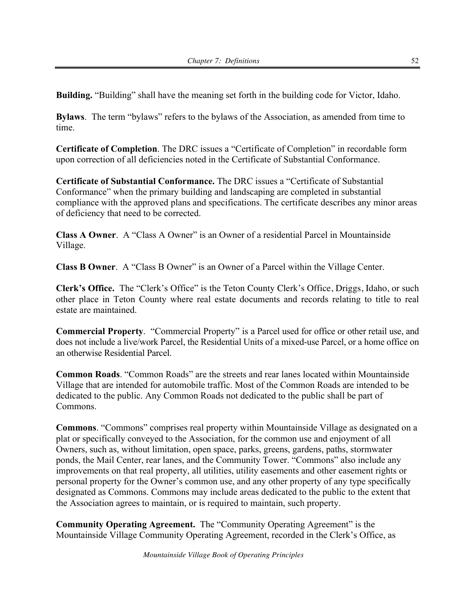**Building.** "Building" shall have the meaning set forth in the building code for Victor, Idaho.

**Bylaws**. The term "bylaws" refers to the bylaws of the Association, as amended from time to time.

**Certificate of Completion**. The DRC issues a "Certificate of Completion" in recordable form upon correction of all deficiencies noted in the Certificate of Substantial Conformance.

**Certificate of Substantial Conformance.** The DRC issues a "Certificate of Substantial Conformance" when the primary building and landscaping are completed in substantial compliance with the approved plans and specifications. The certificate describes any minor areas of deficiency that need to be corrected.

**Class A Owner**. A "Class A Owner" is an Owner of a residential Parcel in Mountainside Village.

**Class B Owner**. A "Class B Owner" is an Owner of a Parcel within the Village Center.

**Clerk's Office.** The "Clerk's Office" is the Teton County Clerk's Office, Driggs, Idaho, or such other place in Teton County where real estate documents and records relating to title to real estate are maintained.

**Commercial Property**. "Commercial Property" is a Parcel used for office or other retail use, and does not include a live/work Parcel, the Residential Units of a mixed-use Parcel, or a home office on an otherwise Residential Parcel.

**Common Roads**. "Common Roads" are the streets and rear lanes located within Mountainside Village that are intended for automobile traffic. Most of the Common Roads are intended to be dedicated to the public. Any Common Roads not dedicated to the public shall be part of Commons.

**Commons**. "Commons" comprises real property within Mountainside Village as designated on a plat or specifically conveyed to the Association, for the common use and enjoyment of all Owners, such as, without limitation, open space, parks, greens, gardens, paths, stormwater ponds, the Mail Center, rear lanes, and the Community Tower. "Commons" also include any improvements on that real property, all utilities, utility easements and other easement rights or personal property for the Owner's common use, and any other property of any type specifically designated as Commons. Commons may include areas dedicated to the public to the extent that the Association agrees to maintain, or is required to maintain, such property.

**Community Operating Agreement.** The "Community Operating Agreement" is the Mountainside Village Community Operating Agreement, recorded in the Clerk's Office, as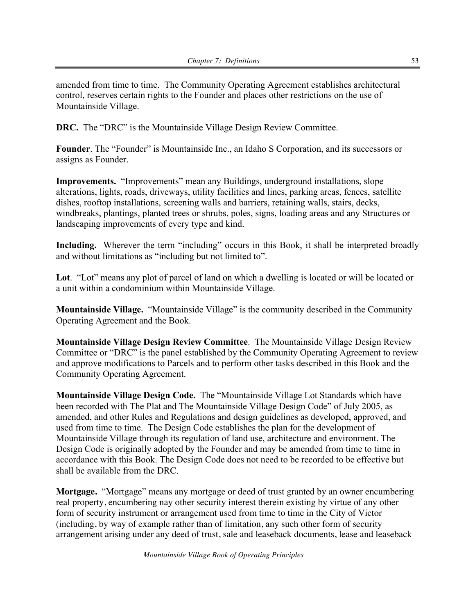amended from time to time. The Community Operating Agreement establishes architectural control, reserves certain rights to the Founder and places other restrictions on the use of Mountainside Village.

**DRC.** The "DRC" is the Mountainside Village Design Review Committee.

Founder. The "Founder" is Mountainside Inc., an Idaho S Corporation, and its successors or assigns as Founder.

**Improvements.** "Improvements" mean any Buildings, underground installations, slope alterations, lights, roads, driveways, utility facilities and lines, parking areas, fences, satellite dishes, rooftop installations, screening walls and barriers, retaining walls, stairs, decks, windbreaks, plantings, planted trees or shrubs, poles, signs, loading areas and any Structures or landscaping improvements of every type and kind.

Including. Wherever the term "including" occurs in this Book, it shall be interpreted broadly and without limitations as "including but not limited to".

Lot. "Lot" means any plot of parcel of land on which a dwelling is located or will be located or a unit within a condominium within Mountainside Village.

**Mountainside Village.** "Mountainside Village" is the community described in the Community Operating Agreement and the Book.

**Mountainside Village Design Review Committee**. The Mountainside Village Design Review Committee or "DRC" is the panel established by the Community Operating Agreement to review and approve modifications to Parcels and to perform other tasks described in this Book and the Community Operating Agreement.

**Mountainside Village Design Code.** The "Mountainside Village Lot Standards which have been recorded with The Plat and The Mountainside Village Design Code" of July 2005, as amended, and other Rules and Regulations and design guidelines as developed, approved, and used from time to time. The Design Code establishes the plan for the development of Mountainside Village through its regulation of land use, architecture and environment. The Design Code is originally adopted by the Founder and may be amended from time to time in accordance with this Book. The Design Code does not need to be recorded to be effective but shall be available from the DRC.

**Mortgage.** "Mortgage" means any mortgage or deed of trust granted by an owner encumbering real property, encumbering nay other security interest therein existing by virtue of any other form of security instrument or arrangement used from time to time in the City of Victor (including, by way of example rather than of limitation, any such other form of security arrangement arising under any deed of trust, sale and leaseback documents, lease and leaseback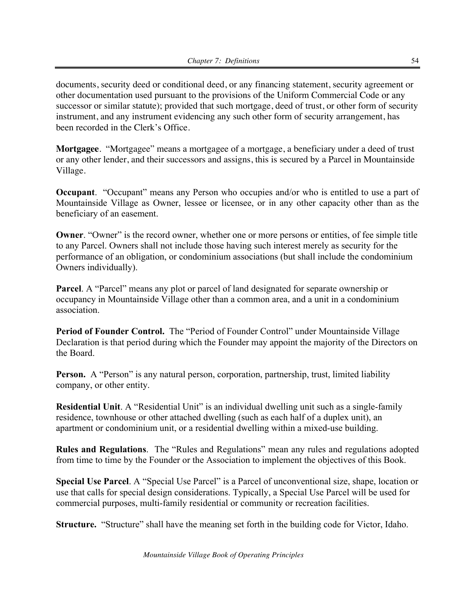documents, security deed or conditional deed, or any financing statement, security agreement or other documentation used pursuant to the provisions of the Uniform Commercial Code or any successor or similar statute); provided that such mortgage, deed of trust, or other form of security instrument, and any instrument evidencing any such other form of security arrangement, has been recorded in the Clerk's Office.

**Mortgagee**. "Mortgagee" means a mortgagee of a mortgage, a beneficiary under a deed of trust or any other lender, and their successors and assigns, this is secured by a Parcel in Mountainside Village.

**Occupant**. "Occupant" means any Person who occupies and/or who is entitled to use a part of Mountainside Village as Owner, lessee or licensee, or in any other capacity other than as the beneficiary of an easement.

**Owner**. "Owner" is the record owner, whether one or more persons or entities, of fee simple title to any Parcel. Owners shall not include those having such interest merely as security for the performance of an obligation, or condominium associations (but shall include the condominium Owners individually).

**Parcel**. A "Parcel" means any plot or parcel of land designated for separate ownership or occupancy in Mountainside Village other than a common area, and a unit in a condominium association.

**Period of Founder Control.** The "Period of Founder Control" under Mountainside Village Declaration is that period during which the Founder may appoint the majority of the Directors on the Board.

**Person.** A "Person" is any natural person, corporation, partnership, trust, limited liability company, or other entity.

**Residential Unit**. A "Residential Unit" is an individual dwelling unit such as a single-family residence, townhouse or other attached dwelling (such as each half of a duplex unit), an apartment or condominium unit, or a residential dwelling within a mixed-use building.

**Rules and Regulations**. The "Rules and Regulations" mean any rules and regulations adopted from time to time by the Founder or the Association to implement the objectives of this Book.

**Special Use Parcel**. A "Special Use Parcel" is a Parcel of unconventional size, shape, location or use that calls for special design considerations. Typically, a Special Use Parcel will be used for commercial purposes, multi-family residential or community or recreation facilities.

**Structure.** "Structure" shall have the meaning set forth in the building code for Victor, Idaho.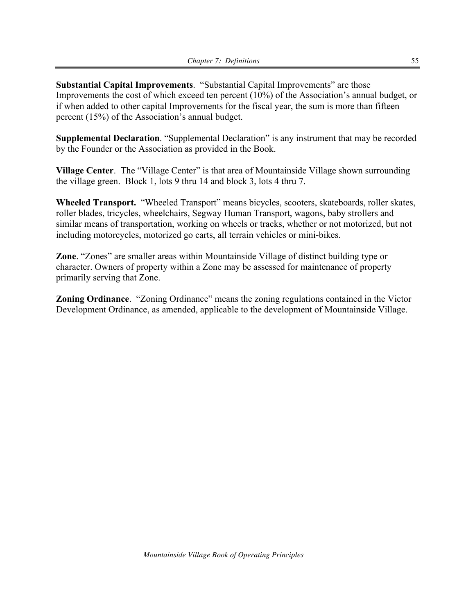**Substantial Capital Improvements**. "Substantial Capital Improvements" are those Improvements the cost of which exceed ten percent (10%) of the Association's annual budget, or if when added to other capital Improvements for the fiscal year, the sum is more than fifteen percent (15%) of the Association's annual budget.

**Supplemental Declaration**. "Supplemental Declaration" is any instrument that may be recorded by the Founder or the Association as provided in the Book.

**Village Center**. The "Village Center" is that area of Mountainside Village shown surrounding the village green. Block 1, lots 9 thru 14 and block 3, lots 4 thru 7.

**Wheeled Transport.** "Wheeled Transport" means bicycles, scooters, skateboards, roller skates, roller blades, tricycles, wheelchairs, Segway Human Transport, wagons, baby strollers and similar means of transportation, working on wheels or tracks, whether or not motorized, but not including motorcycles, motorized go carts, all terrain vehicles or mini-bikes.

**Zone**. "Zones" are smaller areas within Mountainside Village of distinct building type or character. Owners of property within a Zone may be assessed for maintenance of property primarily serving that Zone.

**Zoning Ordinance**. "Zoning Ordinance" means the zoning regulations contained in the Victor Development Ordinance, as amended, applicable to the development of Mountainside Village.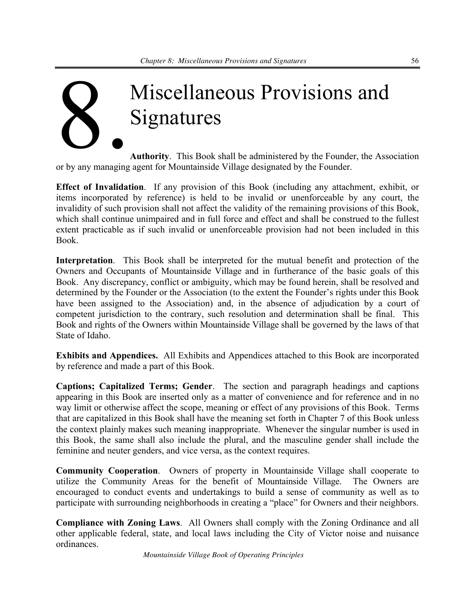## Miscellaneous Provisions and Signatures 8.

**Authority**. This Book shall be administered by the Founder, the Association or by any managing agent for Mountainside Village designated by the Founder.

**Effect of Invalidation**. If any provision of this Book (including any attachment, exhibit, or items incorporated by reference) is held to be invalid or unenforceable by any court, the invalidity of such provision shall not affect the validity of the remaining provisions of this Book, which shall continue unimpaired and in full force and effect and shall be construed to the fullest extent practicable as if such invalid or unenforceable provision had not been included in this Book.

**Interpretation**. This Book shall be interpreted for the mutual benefit and protection of the Owners and Occupants of Mountainside Village and in furtherance of the basic goals of this Book. Any discrepancy, conflict or ambiguity, which may be found herein, shall be resolved and determined by the Founder or the Association (to the extent the Founder's rights under this Book have been assigned to the Association) and, in the absence of adjudication by a court of competent jurisdiction to the contrary, such resolution and determination shall be final. This Book and rights of the Owners within Mountainside Village shall be governed by the laws of that State of Idaho.

**Exhibits and Appendices.** All Exhibits and Appendices attached to this Book are incorporated by reference and made a part of this Book.

**Captions; Capitalized Terms; Gender**. The section and paragraph headings and captions appearing in this Book are inserted only as a matter of convenience and for reference and in no way limit or otherwise affect the scope, meaning or effect of any provisions of this Book. Terms that are capitalized in this Book shall have the meaning set forth in Chapter 7 of this Book unless the context plainly makes such meaning inappropriate. Whenever the singular number is used in this Book, the same shall also include the plural, and the masculine gender shall include the feminine and neuter genders, and vice versa, as the context requires.

**Community Cooperation**. Owners of property in Mountainside Village shall cooperate to utilize the Community Areas for the benefit of Mountainside Village. The Owners are encouraged to conduct events and undertakings to build a sense of community as well as to participate with surrounding neighborhoods in creating a "place" for Owners and their neighbors.

**Compliance with Zoning Laws**. All Owners shall comply with the Zoning Ordinance and all other applicable federal, state, and local laws including the City of Victor noise and nuisance ordinances.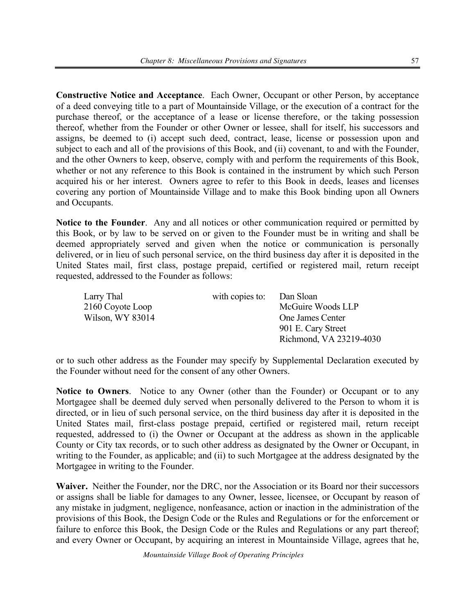**Constructive Notice and Acceptance**. Each Owner, Occupant or other Person, by acceptance of a deed conveying title to a part of Mountainside Village, or the execution of a contract for the purchase thereof, or the acceptance of a lease or license therefore, or the taking possession thereof, whether from the Founder or other Owner or lessee, shall for itself, his successors and assigns, be deemed to (i) accept such deed, contract, lease, license or possession upon and subject to each and all of the provisions of this Book, and (ii) covenant, to and with the Founder, and the other Owners to keep, observe, comply with and perform the requirements of this Book, whether or not any reference to this Book is contained in the instrument by which such Person acquired his or her interest. Owners agree to refer to this Book in deeds, leases and licenses covering any portion of Mountainside Village and to make this Book binding upon all Owners and Occupants.

**Notice to the Founder**. Any and all notices or other communication required or permitted by this Book, or by law to be served on or given to the Founder must be in writing and shall be deemed appropriately served and given when the notice or communication is personally delivered, or in lieu of such personal service, on the third business day after it is deposited in the United States mail, first class, postage prepaid, certified or registered mail, return receipt requested, addressed to the Founder as follows:

| Larry Thal       | with copies to: Dan Sloan |                         |
|------------------|---------------------------|-------------------------|
| 2160 Coyote Loop |                           | McGuire Woods LLP       |
| Wilson, WY 83014 |                           | One James Center        |
|                  |                           | 901 E. Cary Street      |
|                  |                           | Richmond, VA 23219-4030 |
|                  |                           |                         |

or to such other address as the Founder may specify by Supplemental Declaration executed by the Founder without need for the consent of any other Owners.

**Notice to Owners**. Notice to any Owner (other than the Founder) or Occupant or to any Mortgagee shall be deemed duly served when personally delivered to the Person to whom it is directed, or in lieu of such personal service, on the third business day after it is deposited in the United States mail, first-class postage prepaid, certified or registered mail, return receipt requested, addressed to (i) the Owner or Occupant at the address as shown in the applicable County or City tax records, or to such other address as designated by the Owner or Occupant, in writing to the Founder, as applicable; and (ii) to such Mortgagee at the address designated by the Mortgagee in writing to the Founder.

**Waiver.** Neither the Founder, nor the DRC, nor the Association or its Board nor their successors or assigns shall be liable for damages to any Owner, lessee, licensee, or Occupant by reason of any mistake in judgment, negligence, nonfeasance, action or inaction in the administration of the provisions of this Book, the Design Code or the Rules and Regulations or for the enforcement or failure to enforce this Book, the Design Code or the Rules and Regulations or any part thereof; and every Owner or Occupant, by acquiring an interest in Mountainside Village, agrees that he,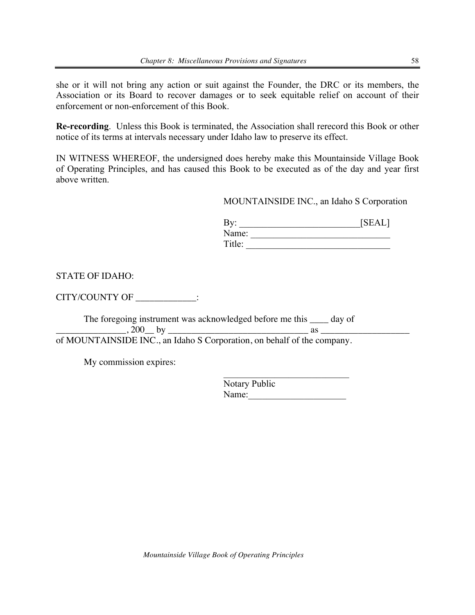she or it will not bring any action or suit against the Founder, the DRC or its members, the Association or its Board to recover damages or to seek equitable relief on account of their enforcement or non-enforcement of this Book.

**Re-recording**. Unless this Book is terminated, the Association shall rerecord this Book or other notice of its terms at intervals necessary under Idaho law to preserve its effect.

IN WITNESS WHEREOF, the undersigned does hereby make this Mountainside Village Book of Operating Principles, and has caused this Book to be executed as of the day and year first above written.

MOUNTAINSIDE INC., an Idaho S Corporation

| By:    | [SEAL] |
|--------|--------|
| Name:  |        |
| Title: |        |

STATE OF IDAHO:

CITY/COUNTY OF \_\_\_\_\_\_\_\_\_\_\_\_\_:

The foregoing instrument was acknowledged before me this \_\_\_\_ day of \_\_\_\_\_\_\_\_\_\_\_\_\_\_\_, 200\_\_ by \_\_\_\_\_\_\_\_\_\_\_\_\_\_\_\_\_\_\_\_\_\_\_\_\_\_\_\_\_\_ as \_\_\_\_\_\_\_\_\_\_\_\_\_\_\_\_\_\_\_

of MOUNTAINSIDE INC., an Idaho S Corporation, on behalf of the company.

My commission expires:

Notary Public Name:\_\_\_\_\_\_\_\_\_\_\_\_\_\_\_\_\_\_\_\_\_

 $\mathcal{L}_\text{max}$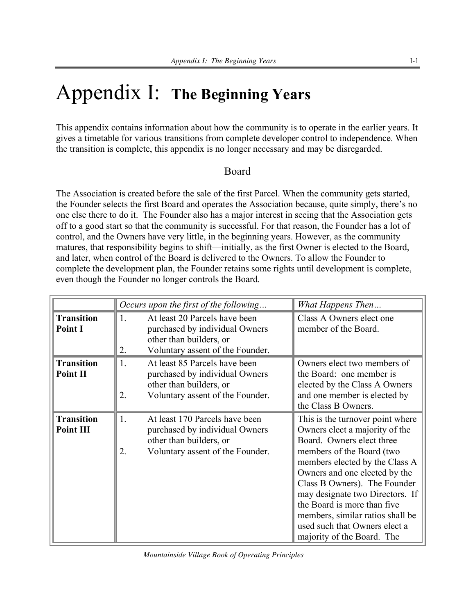## Appendix I: **The Beginning Years**

This appendix contains information about how the community is to operate in the earlier years. It gives a timetable for various transitions from complete developer control to independence. When the transition is complete, this appendix is no longer necessary and may be disregarded.

## Board

The Association is created before the sale of the first Parcel. When the community gets started, the Founder selects the first Board and operates the Association because, quite simply, there's no one else there to do it. The Founder also has a major interest in seeing that the Association gets off to a good start so that the community is successful. For that reason, the Founder has a lot of control, and the Owners have very little, in the beginning years. However, as the community matures, that responsibility begins to shift—initially, as the first Owner is elected to the Board, and later, when control of the Board is delivered to the Owners. To allow the Founder to complete the development plan, the Founder retains some rights until development is complete, even though the Founder no longer controls the Board.

|                                       | Occurs upon the first of the following                                                                                                      | What Happens Then                                                                                                                                                                                                                                                                                                                                                                                    |
|---------------------------------------|---------------------------------------------------------------------------------------------------------------------------------------------|------------------------------------------------------------------------------------------------------------------------------------------------------------------------------------------------------------------------------------------------------------------------------------------------------------------------------------------------------------------------------------------------------|
| <b>Transition</b><br><b>Point I</b>   | At least 20 Parcels have been<br>1.<br>purchased by individual Owners<br>other than builders, or<br>Voluntary assent of the Founder.<br>2.  | Class A Owners elect one<br>member of the Board.                                                                                                                                                                                                                                                                                                                                                     |
| <b>Transition</b><br><b>Point II</b>  | 1.<br>At least 85 Parcels have been<br>purchased by individual Owners<br>other than builders, or<br>Voluntary assent of the Founder.<br>2.  | Owners elect two members of<br>the Board: one member is<br>elected by the Class A Owners<br>and one member is elected by<br>the Class B Owners.                                                                                                                                                                                                                                                      |
| <b>Transition</b><br><b>Point III</b> | 1.<br>At least 170 Parcels have been<br>purchased by individual Owners<br>other than builders, or<br>Voluntary assent of the Founder.<br>2. | This is the turnover point where<br>Owners elect a majority of the<br>Board. Owners elect three<br>members of the Board (two<br>members elected by the Class A<br>Owners and one elected by the<br>Class B Owners). The Founder<br>may designate two Directors. If<br>the Board is more than five<br>members, similar ratios shall be<br>used such that Owners elect a<br>majority of the Board. The |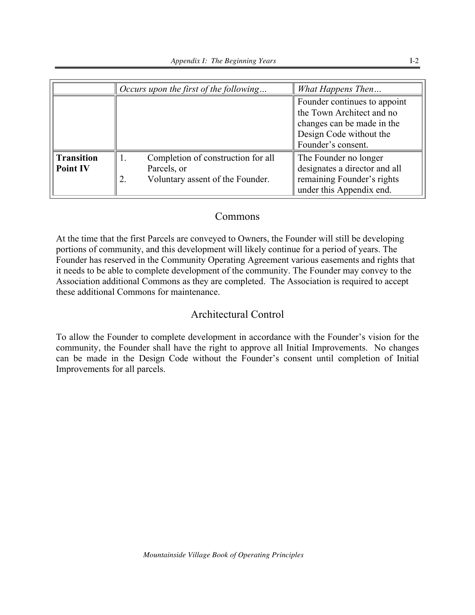|                                      | Occurs upon the first of the following                                                      | What Happens Then                                                                                                                        |
|--------------------------------------|---------------------------------------------------------------------------------------------|------------------------------------------------------------------------------------------------------------------------------------------|
|                                      |                                                                                             | Founder continues to appoint<br>the Town Architect and no<br>changes can be made in the<br>Design Code without the<br>Founder's consent. |
| <b>Transition</b><br><b>Point IV</b> | Completion of construction for all<br>Parcels, or<br>Voluntary assent of the Founder.<br>2. | The Founder no longer<br>designates a director and all<br>remaining Founder's rights<br>under this Appendix end.                         |

#### Commons

At the time that the first Parcels are conveyed to Owners, the Founder will still be developing portions of community, and this development will likely continue for a period of years. The Founder has reserved in the Community Operating Agreement various easements and rights that it needs to be able to complete development of the community. The Founder may convey to the Association additional Commons as they are completed. The Association is required to accept these additional Commons for maintenance.

## Architectural Control

To allow the Founder to complete development in accordance with the Founder's vision for the community, the Founder shall have the right to approve all Initial Improvements. No changes can be made in the Design Code without the Founder's consent until completion of Initial Improvements for all parcels.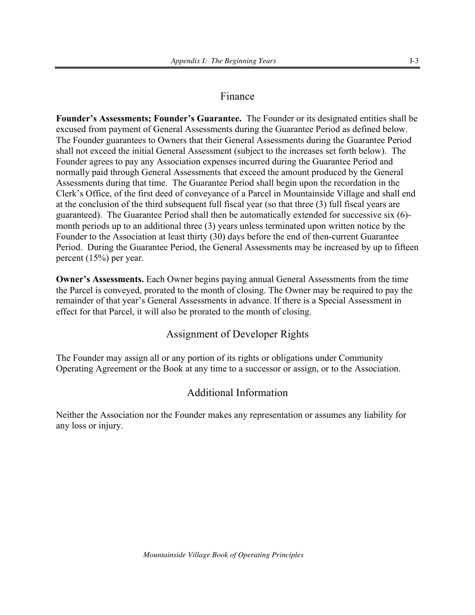## Finance

**Founder's Assessments; Founder's Guarantee.** The Founder or its designated entities shall be excused from payment of General Assessments during the Guarantee Period as defined below. The Founder guarantees to Owners that their General Assessments during the Guarantee Period shall not exceed the initial General Assessment (subject to the increases set forth below). The Founder agrees to pay any Association expenses incurred during the Guarantee Period and normally paid through General Assessments that exceed the amount produced by the General Assessments during that time. The Guarantee Period shall begin upon the recordation in the Clerk's Office, of the first deed of conveyance of a Parcel in Mountainside Village and shall end at the conclusion of the third subsequent full fiscal year (so that three (3) full fiscal years are guaranteed). The Guarantee Period shall then be automatically extended for successive six (6) month periods up to an additional three (3) years unless terminated upon written notice by the Founder to the Association at least thirty (30) days before the end of then-current Guarantee Period. During the Guarantee Period, the General Assessments may be increased by up to fifteen percent (15%) per year.

**Owner's Assessments.** Each Owner begins paying annual General Assessments from the time the Parcel is conveyed, prorated to the month of closing. The Owner may be required to pay the remainder of that year's General Assessments in advance. If there is a Special Assessment in effect for that Parcel, it will also be prorated to the month of closing.

## Assignment of Developer Rights

The Founder may assign all or any portion of its rights or obligations under Community Operating Agreement or the Book at any time to a successor or assign, or to the Association.

## Additional Information

Neither the Association nor the Founder makes any representation or assumes any liability for any loss or injury.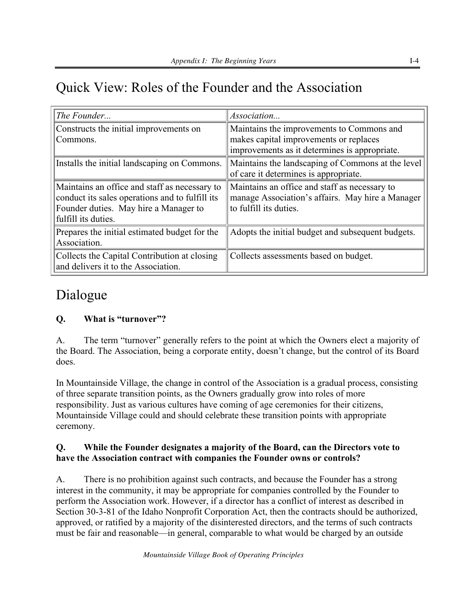## Quick View: Roles of the Founder and the Association

| The Founder                                                                                                                                                      | Association                                                                                                                 |
|------------------------------------------------------------------------------------------------------------------------------------------------------------------|-----------------------------------------------------------------------------------------------------------------------------|
| Constructs the initial improvements on<br>Commons.                                                                                                               | Maintains the improvements to Commons and<br>makes capital improvements or replaces                                         |
|                                                                                                                                                                  | improvements as it determines is appropriate.                                                                               |
| Installs the initial landscaping on Commons.                                                                                                                     | Maintains the landscaping of Commons at the level<br>of care it determines is appropriate.                                  |
| Maintains an office and staff as necessary to<br>conduct its sales operations and to fulfill its<br>Founder duties. May hire a Manager to<br>fulfill its duties. | Maintains an office and staff as necessary to<br>manage Association's affairs. May hire a Manager<br>to fulfill its duties. |
| Prepares the initial estimated budget for the<br>Association.                                                                                                    | Adopts the initial budget and subsequent budgets.                                                                           |
| Collects the Capital Contribution at closing<br>and delivers it to the Association.                                                                              | Collects assessments based on budget.                                                                                       |

## Dialogue

## **Q. What is "turnover"?**

A. The term "turnover" generally refers to the point at which the Owners elect a majority of the Board. The Association, being a corporate entity, doesn't change, but the control of its Board does.

In Mountainside Village, the change in control of the Association is a gradual process, consisting of three separate transition points, as the Owners gradually grow into roles of more responsibility. Just as various cultures have coming of age ceremonies for their citizens, Mountainside Village could and should celebrate these transition points with appropriate ceremony.

#### **Q. While the Founder designates a majority of the Board, can the Directors vote to have the Association contract with companies the Founder owns or controls?**

A. There is no prohibition against such contracts, and because the Founder has a strong interest in the community, it may be appropriate for companies controlled by the Founder to perform the Association work. However, if a director has a conflict of interest as described in Section 30-3-81 of the Idaho Nonprofit Corporation Act, then the contracts should be authorized, approved, or ratified by a majority of the disinterested directors, and the terms of such contracts must be fair and reasonable—in general, comparable to what would be charged by an outside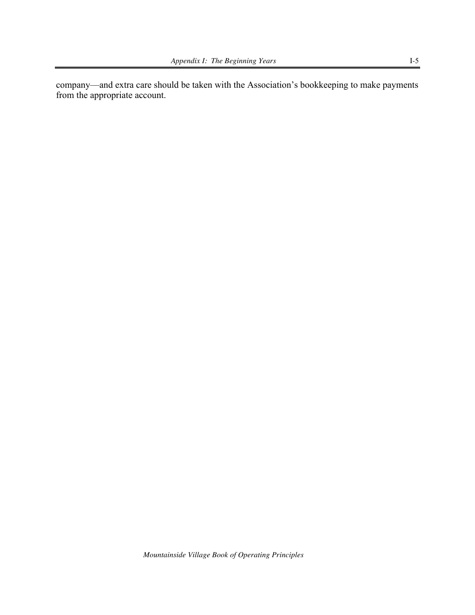company—and extra care should be taken with the Association's bookkeeping to make payments from the appropriate account.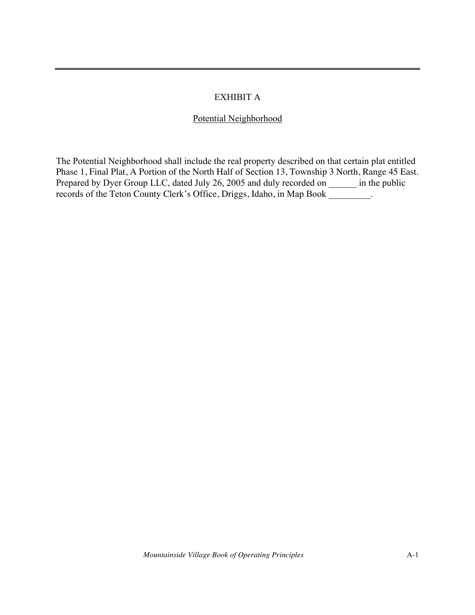#### EXHIBIT A

#### Potential Neighborhood

The Potential Neighborhood shall include the real property described on that certain plat entitled Phase 1, Final Plat, A Portion of the North Half of Section 13, Township 3 North, Range 45 East. Prepared by Dyer Group LLC, dated July 26, 2005 and duly recorded on \_\_\_\_\_\_\_ in the public records of the Teton County Clerk's Office, Driggs, Idaho, in Map Book \_\_\_\_\_\_\_\_\_.